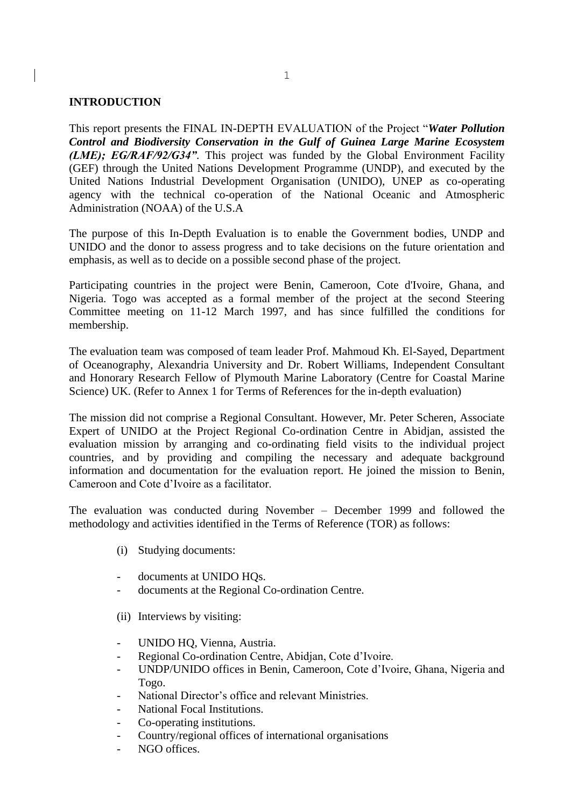### **INTRODUCTION**

This report presents the FINAL IN-DEPTH EVALUATION of the Project "*Water Pollution Control and Biodiversity Conservation in the Gulf of Guinea Large Marine Ecosystem (LME); EG/RAF/92/G34".* This project was funded by the Global Environment Facility (GEF) through the United Nations Development Programme (UNDP), and executed by the United Nations Industrial Development Organisation (UNIDO), UNEP as co-operating agency with the technical co-operation of the National Oceanic and Atmospheric Administration (NOAA) of the U.S.A

The purpose of this In-Depth Evaluation is to enable the Government bodies, UNDP and UNIDO and the donor to assess progress and to take decisions on the future orientation and emphasis, as well as to decide on a possible second phase of the project.

Participating countries in the project were Benin, Cameroon, Cote d'Ivoire, Ghana, and Nigeria. Togo was accepted as a formal member of the project at the second Steering Committee meeting on 11-12 March 1997, and has since fulfilled the conditions for membership.

The evaluation team was composed of team leader Prof. Mahmoud Kh. El-Sayed, Department of Oceanography, Alexandria University and Dr. Robert Williams, Independent Consultant and Honorary Research Fellow of Plymouth Marine Laboratory (Centre for Coastal Marine Science) UK. (Refer to Annex 1 for Terms of References for the in-depth evaluation)

The mission did not comprise a Regional Consultant. However, Mr. Peter Scheren, Associate Expert of UNIDO at the Project Regional Co-ordination Centre in Abidjan, assisted the evaluation mission by arranging and co-ordinating field visits to the individual project countries, and by providing and compiling the necessary and adequate background information and documentation for the evaluation report. He joined the mission to Benin, Cameroon and Cote d'Ivoire as a facilitator.

The evaluation was conducted during November – December 1999 and followed the methodology and activities identified in the Terms of Reference (TOR) as follows:

- (i) Studying documents:
- documents at UNIDO HQs.
- documents at the Regional Co-ordination Centre.
- (ii) Interviews by visiting:
- UNIDO HQ, Vienna, Austria.
- Regional Co-ordination Centre, Abidjan, Cote d'Ivoire.
- UNDP/UNIDO offices in Benin, Cameroon, Cote d'Ivoire, Ghana, Nigeria and Togo.
- National Director's office and relevant Ministries.
- National Focal Institutions.
- Co-operating institutions.
- Country/regional offices of international organisations
- NGO offices.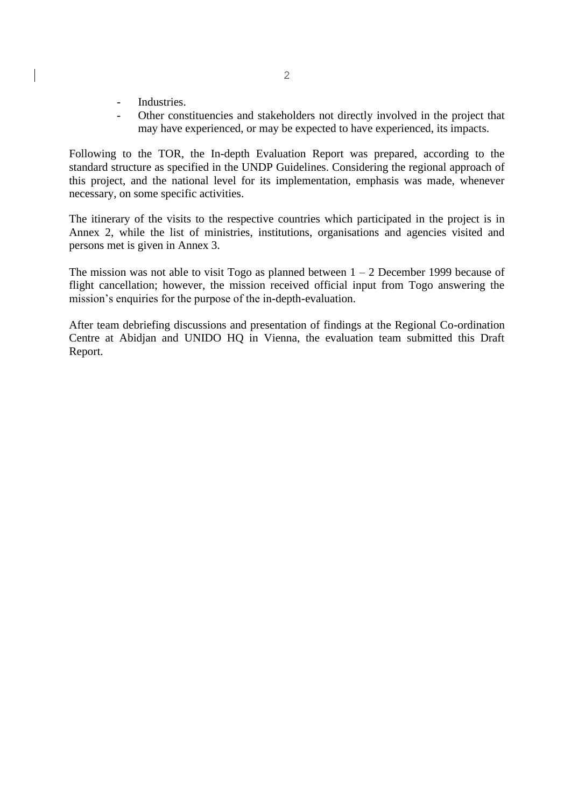- Industries.
- Other constituencies and stakeholders not directly involved in the project that may have experienced, or may be expected to have experienced, its impacts.

Following to the TOR, the In-depth Evaluation Report was prepared, according to the standard structure as specified in the UNDP Guidelines. Considering the regional approach of this project, and the national level for its implementation, emphasis was made, whenever necessary, on some specific activities.

The itinerary of the visits to the respective countries which participated in the project is in Annex 2, while the list of ministries, institutions, organisations and agencies visited and persons met is given in Annex 3.

The mission was not able to visit Togo as planned between  $1 - 2$  December 1999 because of flight cancellation; however, the mission received official input from Togo answering the mission's enquiries for the purpose of the in-depth-evaluation.

After team debriefing discussions and presentation of findings at the Regional Co-ordination Centre at Abidjan and UNIDO HQ in Vienna, the evaluation team submitted this Draft Report.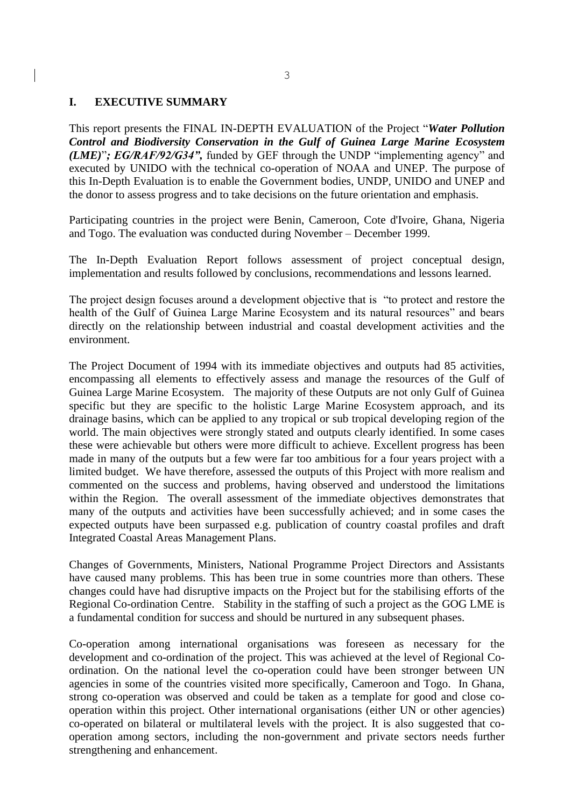### **I. EXECUTIVE SUMMARY**

This report presents the FINAL IN-DEPTH EVALUATION of the Project "*Water Pollution Control and Biodiversity Conservation in the Gulf of Guinea Large Marine Ecosystem (LME)*"*; EG/RAF/92/G34",* funded by GEF through the UNDP "implementing agency" and executed by UNIDO with the technical co-operation of NOAA and UNEP. The purpose of this In-Depth Evaluation is to enable the Government bodies, UNDP, UNIDO and UNEP and the donor to assess progress and to take decisions on the future orientation and emphasis.

Participating countries in the project were Benin, Cameroon, Cote d'Ivoire, Ghana, Nigeria and Togo. The evaluation was conducted during November – December 1999.

The In-Depth Evaluation Report follows assessment of project conceptual design, implementation and results followed by conclusions, recommendations and lessons learned.

The project design focuses around a development objective that is "to protect and restore the health of the Gulf of Guinea Large Marine Ecosystem and its natural resources" and bears directly on the relationship between industrial and coastal development activities and the environment.

The Project Document of 1994 with its immediate objectives and outputs had 85 activities, encompassing all elements to effectively assess and manage the resources of the Gulf of Guinea Large Marine Ecosystem. The majority of these Outputs are not only Gulf of Guinea specific but they are specific to the holistic Large Marine Ecosystem approach, and its drainage basins, which can be applied to any tropical or sub tropical developing region of the world. The main objectives were strongly stated and outputs clearly identified. In some cases these were achievable but others were more difficult to achieve. Excellent progress has been made in many of the outputs but a few were far too ambitious for a four years project with a limited budget. We have therefore, assessed the outputs of this Project with more realism and commented on the success and problems, having observed and understood the limitations within the Region. The overall assessment of the immediate objectives demonstrates that many of the outputs and activities have been successfully achieved; and in some cases the expected outputs have been surpassed e.g. publication of country coastal profiles and draft Integrated Coastal Areas Management Plans.

Changes of Governments, Ministers, National Programme Project Directors and Assistants have caused many problems. This has been true in some countries more than others. These changes could have had disruptive impacts on the Project but for the stabilising efforts of the Regional Co-ordination Centre. Stability in the staffing of such a project as the GOG LME is a fundamental condition for success and should be nurtured in any subsequent phases.

Co-operation among international organisations was foreseen as necessary for the development and co-ordination of the project. This was achieved at the level of Regional Coordination. On the national level the co-operation could have been stronger between UN agencies in some of the countries visited more specifically, Cameroon and Togo. In Ghana, strong co-operation was observed and could be taken as a template for good and close cooperation within this project. Other international organisations (either UN or other agencies) co-operated on bilateral or multilateral levels with the project. It is also suggested that cooperation among sectors, including the non-government and private sectors needs further strengthening and enhancement.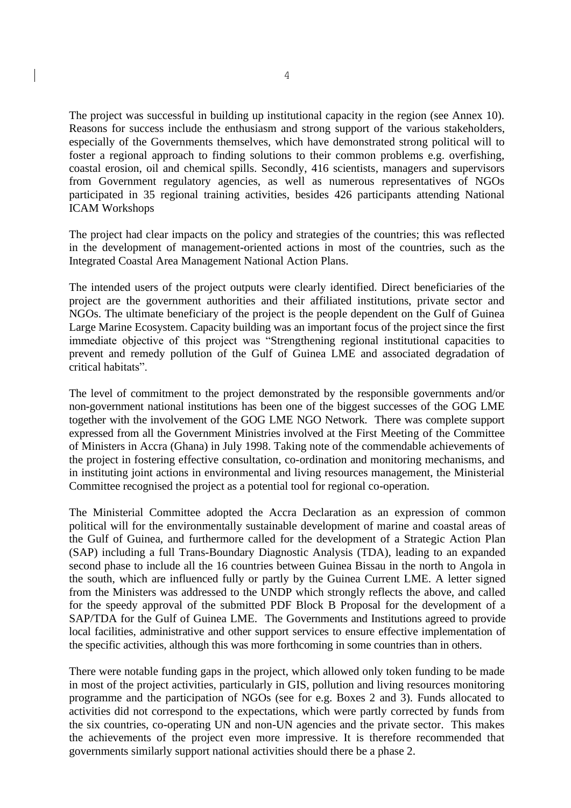The project was successful in building up institutional capacity in the region (see Annex 10). Reasons for success include the enthusiasm and strong support of the various stakeholders, especially of the Governments themselves, which have demonstrated strong political will to foster a regional approach to finding solutions to their common problems e.g. overfishing, coastal erosion, oil and chemical spills. Secondly, 416 scientists, managers and supervisors from Government regulatory agencies, as well as numerous representatives of NGOs participated in 35 regional training activities, besides 426 participants attending National ICAM Workshops

The project had clear impacts on the policy and strategies of the countries; this was reflected in the development of management-oriented actions in most of the countries, such as the Integrated Coastal Area Management National Action Plans.

The intended users of the project outputs were clearly identified. Direct beneficiaries of the project are the government authorities and their affiliated institutions, private sector and NGOs. The ultimate beneficiary of the project is the people dependent on the Gulf of Guinea Large Marine Ecosystem. Capacity building was an important focus of the project since the first immediate objective of this project was "Strengthening regional institutional capacities to prevent and remedy pollution of the Gulf of Guinea LME and associated degradation of critical habitats".

The level of commitment to the project demonstrated by the responsible governments and/or non-government national institutions has been one of the biggest successes of the GOG LME together with the involvement of the GOG LME NGO Network. There was complete support expressed from all the Government Ministries involved at the First Meeting of the Committee of Ministers in Accra (Ghana) in July 1998. Taking note of the commendable achievements of the project in fostering effective consultation, co-ordination and monitoring mechanisms, and in instituting joint actions in environmental and living resources management, the Ministerial Committee recognised the project as a potential tool for regional co-operation.

The Ministerial Committee adopted the Accra Declaration as an expression of common political will for the environmentally sustainable development of marine and coastal areas of the Gulf of Guinea, and furthermore called for the development of a Strategic Action Plan (SAP) including a full Trans-Boundary Diagnostic Analysis (TDA), leading to an expanded second phase to include all the 16 countries between Guinea Bissau in the north to Angola in the south, which are influenced fully or partly by the Guinea Current LME. A letter signed from the Ministers was addressed to the UNDP which strongly reflects the above, and called for the speedy approval of the submitted PDF Block B Proposal for the development of a SAP/TDA for the Gulf of Guinea LME. The Governments and Institutions agreed to provide local facilities, administrative and other support services to ensure effective implementation of the specific activities, although this was more forthcoming in some countries than in others.

There were notable funding gaps in the project, which allowed only token funding to be made in most of the project activities, particularly in GIS, pollution and living resources monitoring programme and the participation of NGOs (see for e.g. Boxes 2 and 3). Funds allocated to activities did not correspond to the expectations, which were partly corrected by funds from the six countries, co-operating UN and non-UN agencies and the private sector. This makes the achievements of the project even more impressive. It is therefore recommended that governments similarly support national activities should there be a phase 2.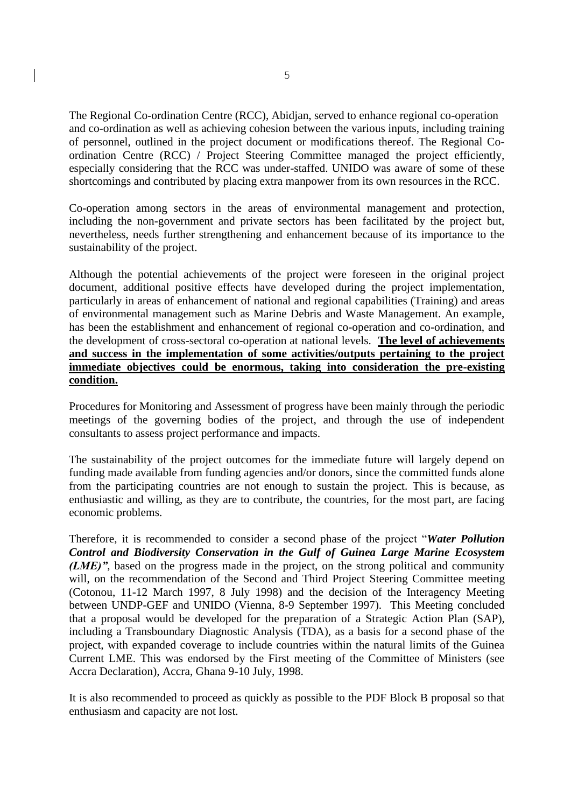The Regional Co-ordination Centre (RCC), Abidjan, served to enhance regional co-operation and co-ordination as well as achieving cohesion between the various inputs, including training of personnel, outlined in the project document or modifications thereof. The Regional Coordination Centre (RCC) / Project Steering Committee managed the project efficiently, especially considering that the RCC was under-staffed. UNIDO was aware of some of these shortcomings and contributed by placing extra manpower from its own resources in the RCC.

Co-operation among sectors in the areas of environmental management and protection, including the non-government and private sectors has been facilitated by the project but, nevertheless, needs further strengthening and enhancement because of its importance to the sustainability of the project.

Although the potential achievements of the project were foreseen in the original project document, additional positive effects have developed during the project implementation, particularly in areas of enhancement of national and regional capabilities (Training) and areas of environmental management such as Marine Debris and Waste Management. An example, has been the establishment and enhancement of regional co-operation and co-ordination, and the development of cross-sectoral co-operation at national levels. **The level of achievements and success in the implementation of some activities/outputs pertaining to the project immediate objectives could be enormous, taking into consideration the pre-existing condition.**

Procedures for Monitoring and Assessment of progress have been mainly through the periodic meetings of the governing bodies of the project, and through the use of independent consultants to assess project performance and impacts.

The sustainability of the project outcomes for the immediate future will largely depend on funding made available from funding agencies and/or donors, since the committed funds alone from the participating countries are not enough to sustain the project. This is because, as enthusiastic and willing, as they are to contribute, the countries, for the most part, are facing economic problems.

Therefore, it is recommended to consider a second phase of the project "*Water Pollution Control and Biodiversity Conservation in the Gulf of Guinea Large Marine Ecosystem (LME)*", based on the progress made in the project, on the strong political and community will, on the recommendation of the Second and Third Project Steering Committee meeting (Cotonou, 11-12 March 1997, 8 July 1998) and the decision of the Interagency Meeting between UNDP-GEF and UNIDO (Vienna, 8-9 September 1997). This Meeting concluded that a proposal would be developed for the preparation of a Strategic Action Plan (SAP), including a Transboundary Diagnostic Analysis (TDA), as a basis for a second phase of the project, with expanded coverage to include countries within the natural limits of the Guinea Current LME. This was endorsed by the First meeting of the Committee of Ministers (see Accra Declaration), Accra, Ghana 9-10 July, 1998.

It is also recommended to proceed as quickly as possible to the PDF Block B proposal so that enthusiasm and capacity are not lost.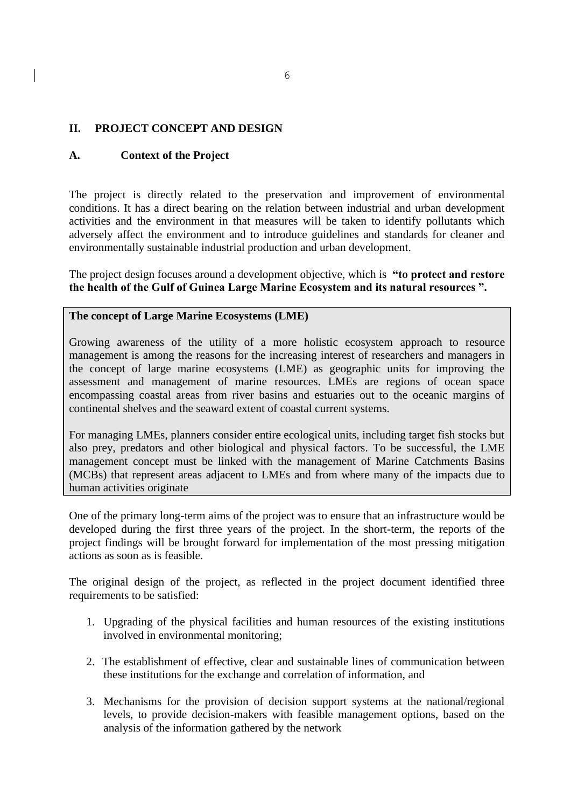# **II. PROJECT CONCEPT AND DESIGN**

## **A. Context of the Project**

The project is directly related to the preservation and improvement of environmental conditions. It has a direct bearing on the relation between industrial and urban development activities and the environment in that measures will be taken to identify pollutants which adversely affect the environment and to introduce guidelines and standards for cleaner and environmentally sustainable industrial production and urban development.

The project design focuses around a development objective, which is **"to protect and restore the health of the Gulf of Guinea Large Marine Ecosystem and its natural resources ".** 

### **The concept of Large Marine Ecosystems (LME)**

Growing awareness of the utility of a more holistic ecosystem approach to resource management is among the reasons for the increasing interest of researchers and managers in the concept of large marine ecosystems (LME) as geographic units for improving the assessment and management of marine resources. LMEs are regions of ocean space encompassing coastal areas from river basins and estuaries out to the oceanic margins of continental shelves and the seaward extent of coastal current systems.

For managing LMEs, planners consider entire ecological units, including target fish stocks but also prey, predators and other biological and physical factors. To be successful, the LME management concept must be linked with the management of Marine Catchments Basins (MCBs) that represent areas adjacent to LMEs and from where many of the impacts due to human activities originate

One of the primary long-term aims of the project was to ensure that an infrastructure would be developed during the first three years of the project. In the short-term, the reports of the project findings will be brought forward for implementation of the most pressing mitigation actions as soon as is feasible.

The original design of the project, as reflected in the project document identified three requirements to be satisfied:

- 1. Upgrading of the physical facilities and human resources of the existing institutions involved in environmental monitoring;
- 2. The establishment of effective, clear and sustainable lines of communication between these institutions for the exchange and correlation of information, and
- 3. Mechanisms for the provision of decision support systems at the national/regional levels, to provide decision-makers with feasible management options, based on the analysis of the information gathered by the network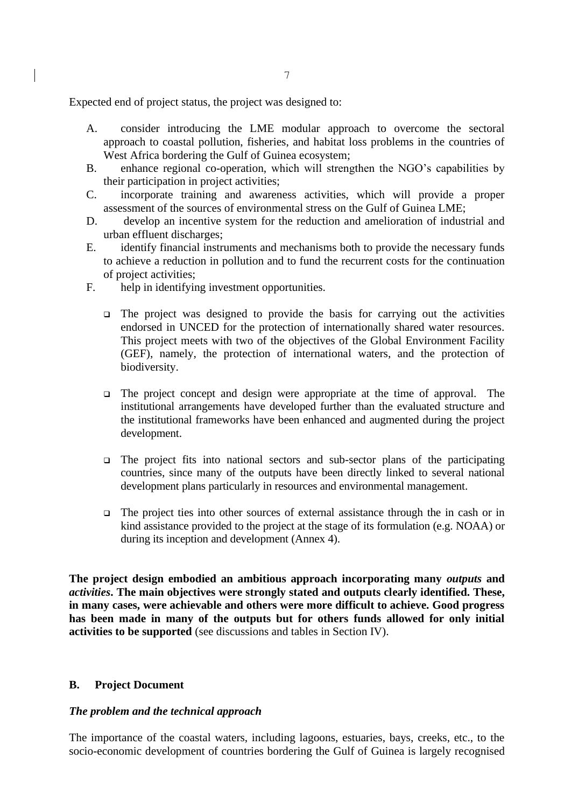Expected end of project status, the project was designed to:

- A. consider introducing the LME modular approach to overcome the sectoral approach to coastal pollution, fisheries, and habitat loss problems in the countries of West Africa bordering the Gulf of Guinea ecosystem;
- B. enhance regional co-operation, which will strengthen the NGO's capabilities by their participation in project activities;
- C. incorporate training and awareness activities, which will provide a proper assessment of the sources of environmental stress on the Gulf of Guinea LME;
- D. develop an incentive system for the reduction and amelioration of industrial and urban effluent discharges;
- E. identify financial instruments and mechanisms both to provide the necessary funds to achieve a reduction in pollution and to fund the recurrent costs for the continuation of project activities;
- F. help in identifying investment opportunities.
	- ❑ The project was designed to provide the basis for carrying out the activities endorsed in UNCED for the protection of internationally shared water resources. This project meets with two of the objectives of the Global Environment Facility (GEF), namely, the protection of international waters, and the protection of biodiversity.
	- ❑ The project concept and design were appropriate at the time of approval. The institutional arrangements have developed further than the evaluated structure and the institutional frameworks have been enhanced and augmented during the project development.
	- ❑ The project fits into national sectors and sub-sector plans of the participating countries, since many of the outputs have been directly linked to several national development plans particularly in resources and environmental management.
	- ❑ The project ties into other sources of external assistance through the in cash or in kind assistance provided to the project at the stage of its formulation (e.g. NOAA) or during its inception and development (Annex 4).

**The project design embodied an ambitious approach incorporating many** *outputs* **and**  *activities***. The main objectives were strongly stated and outputs clearly identified. These, in many cases, were achievable and others were more difficult to achieve. Good progress has been made in many of the outputs but for others funds allowed for only initial activities to be supported** (see discussions and tables in Section IV).

### **B. Project Document**

### *The problem and the technical approach*

The importance of the coastal waters, including lagoons, estuaries, bays, creeks, etc., to the socio-economic development of countries bordering the Gulf of Guinea is largely recognised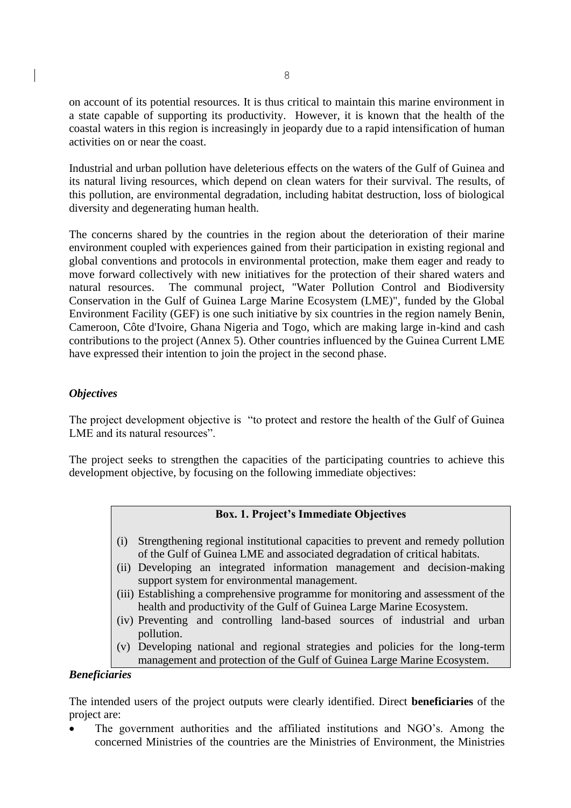on account of its potential resources. It is thus critical to maintain this marine environment in a state capable of supporting its productivity. However, it is known that the health of the coastal waters in this region is increasingly in jeopardy due to a rapid intensification of human activities on or near the coast.

Industrial and urban pollution have deleterious effects on the waters of the Gulf of Guinea and its natural living resources, which depend on clean waters for their survival. The results, of this pollution, are environmental degradation, including habitat destruction, loss of biological diversity and degenerating human health.

The concerns shared by the countries in the region about the deterioration of their marine environment coupled with experiences gained from their participation in existing regional and global conventions and protocols in environmental protection, make them eager and ready to move forward collectively with new initiatives for the protection of their shared waters and natural resources. The communal project, "Water Pollution Control and Biodiversity Conservation in the Gulf of Guinea Large Marine Ecosystem (LME)", funded by the Global Environment Facility (GEF) is one such initiative by six countries in the region namely Benin, Cameroon, Côte d'Ivoire, Ghana Nigeria and Togo, which are making large in-kind and cash contributions to the project (Annex 5). Other countries influenced by the Guinea Current LME have expressed their intention to join the project in the second phase.

## *Objectives*

The project development objective is "to protect and restore the health of the Gulf of Guinea LME and its natural resources".

The project seeks to strengthen the capacities of the participating countries to achieve this development objective, by focusing on the following immediate objectives:

# **Box. 1. Project's Immediate Objectives**

- (i) Strengthening regional institutional capacities to prevent and remedy pollution of the Gulf of Guinea LME and associated degradation of critical habitats.
- (ii) Developing an integrated information management and decision-making support system for environmental management.
- (iii) Establishing a comprehensive programme for monitoring and assessment of the health and productivity of the Gulf of Guinea Large Marine Ecosystem.
- (iv) Preventing and controlling land-based sources of industrial and urban pollution.
- (v) Developing national and regional strategies and policies for the long-term management and protection of the Gulf of Guinea Large Marine Ecosystem.

## *Beneficiaries*

The intended users of the project outputs were clearly identified. Direct **beneficiaries** of the project are:

The government authorities and the affiliated institutions and NGO's. Among the concerned Ministries of the countries are the Ministries of Environment, the Ministries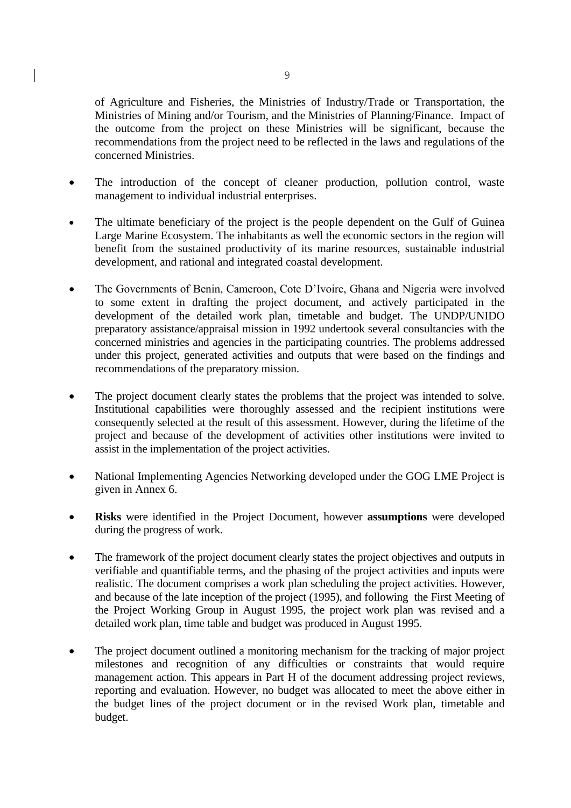of Agriculture and Fisheries, the Ministries of Industry/Trade or Transportation, the Ministries of Mining and/or Tourism, and the Ministries of Planning/Finance. Impact of the outcome from the project on these Ministries will be significant, because the recommendations from the project need to be reflected in the laws and regulations of the concerned Ministries.

- The introduction of the concept of cleaner production, pollution control, waste management to individual industrial enterprises.
- The ultimate beneficiary of the project is the people dependent on the Gulf of Guinea Large Marine Ecosystem. The inhabitants as well the economic sectors in the region will benefit from the sustained productivity of its marine resources, sustainable industrial development, and rational and integrated coastal development.
- The Governments of Benin, Cameroon, Cote D'Ivoire, Ghana and Nigeria were involved to some extent in drafting the project document, and actively participated in the development of the detailed work plan, timetable and budget. The UNDP/UNIDO preparatory assistance/appraisal mission in 1992 undertook several consultancies with the concerned ministries and agencies in the participating countries. The problems addressed under this project, generated activities and outputs that were based on the findings and recommendations of the preparatory mission.
- The project document clearly states the problems that the project was intended to solve. Institutional capabilities were thoroughly assessed and the recipient institutions were consequently selected at the result of this assessment. However, during the lifetime of the project and because of the development of activities other institutions were invited to assist in the implementation of the project activities.
- National Implementing Agencies Networking developed under the GOG LME Project is given in Annex 6.
- **Risks** were identified in the Project Document, however **assumptions** were developed during the progress of work.
- The framework of the project document clearly states the project objectives and outputs in verifiable and quantifiable terms, and the phasing of the project activities and inputs were realistic. The document comprises a work plan scheduling the project activities. However, and because of the late inception of the project (1995), and following the First Meeting of the Project Working Group in August 1995, the project work plan was revised and a detailed work plan, time table and budget was produced in August 1995.
- The project document outlined a monitoring mechanism for the tracking of major project milestones and recognition of any difficulties or constraints that would require management action. This appears in Part H of the document addressing project reviews, reporting and evaluation. However, no budget was allocated to meet the above either in the budget lines of the project document or in the revised Work plan, timetable and budget.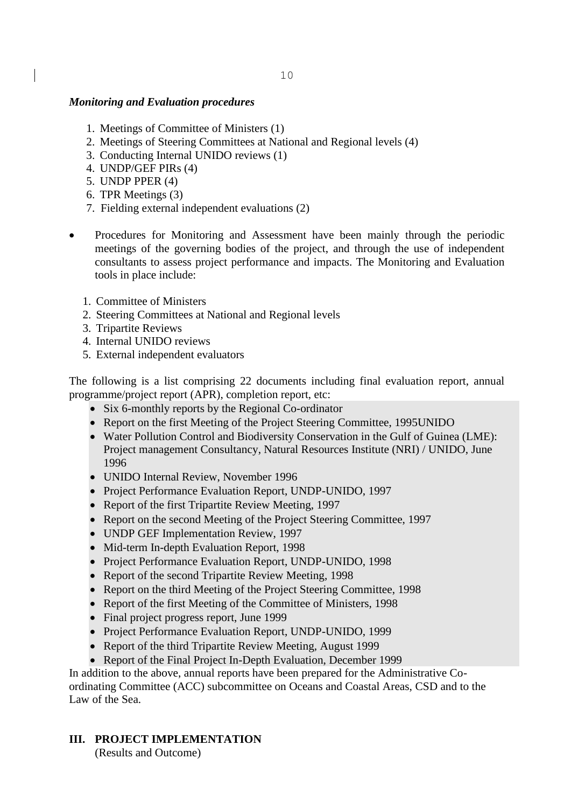### *Monitoring and Evaluation procedures*

- 1. Meetings of Committee of Ministers (1)
- 2. Meetings of Steering Committees at National and Regional levels (4)
- 3. Conducting Internal UNIDO reviews (1)
- 4. UNDP/GEF PIRs (4)
- 5. UNDP PPER (4)
- 6. TPR Meetings (3)
- 7. Fielding external independent evaluations (2)
- Procedures for Monitoring and Assessment have been mainly through the periodic meetings of the governing bodies of the project, and through the use of independent consultants to assess project performance and impacts. The Monitoring and Evaluation tools in place include:
	- 1. Committee of Ministers
	- 2. Steering Committees at National and Regional levels
	- 3. Tripartite Reviews
	- 4. Internal UNIDO reviews
	- 5. External independent evaluators

The following is a list comprising 22 documents including final evaluation report, annual programme/project report (APR), completion report, etc:

- Six 6-monthly reports by the Regional Co-ordinator
- Report on the first Meeting of the Project Steering Committee, 1995UNIDO
- Water Pollution Control and Biodiversity Conservation in the Gulf of Guinea (LME): Project management Consultancy, Natural Resources Institute (NRI) / UNIDO, June 1996
- UNIDO Internal Review, November 1996
- Project Performance Evaluation Report, UNDP-UNIDO, 1997
- Report of the first Tripartite Review Meeting, 1997
- Report on the second Meeting of the Project Steering Committee, 1997
- UNDP GEF Implementation Review, 1997
- Mid-term In-depth Evaluation Report, 1998
- Project Performance Evaluation Report, UNDP-UNIDO, 1998
- Report of the second Tripartite Review Meeting, 1998
- Report on the third Meeting of the Project Steering Committee, 1998
- Report of the first Meeting of the Committee of Ministers, 1998
- Final project progress report, June 1999
- Project Performance Evaluation Report, UNDP-UNIDO, 1999
- Report of the third Tripartite Review Meeting, August 1999
- Report of the Final Project In-Depth Evaluation, December 1999

In addition to the above, annual reports have been prepared for the Administrative Coordinating Committee (ACC) subcommittee on Oceans and Coastal Areas, CSD and to the Law of the Sea.

**III. PROJECT IMPLEMENTATION**

(Results and Outcome)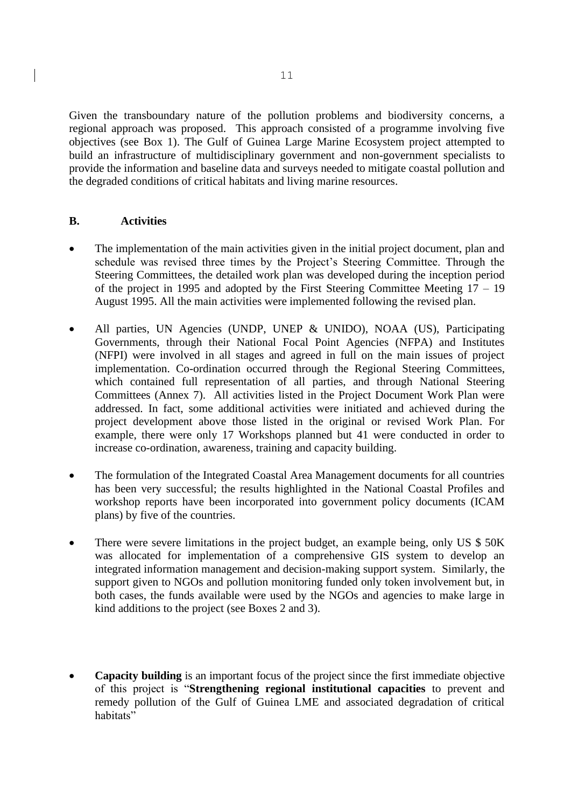Given the transboundary nature of the pollution problems and biodiversity concerns, a regional approach was proposed. This approach consisted of a programme involving five objectives (see Box 1). The Gulf of Guinea Large Marine Ecosystem project attempted to build an infrastructure of multidisciplinary government and non-government specialists to provide the information and baseline data and surveys needed to mitigate coastal pollution and the degraded conditions of critical habitats and living marine resources.

## **B. Activities**

- The implementation of the main activities given in the initial project document, plan and schedule was revised three times by the Project's Steering Committee. Through the Steering Committees, the detailed work plan was developed during the inception period of the project in 1995 and adopted by the First Steering Committee Meeting 17 – 19 August 1995. All the main activities were implemented following the revised plan.
- All parties, UN Agencies (UNDP, UNEP & UNIDO), NOAA (US), Participating Governments, through their National Focal Point Agencies (NFPA) and Institutes (NFPI) were involved in all stages and agreed in full on the main issues of project implementation. Co-ordination occurred through the Regional Steering Committees, which contained full representation of all parties, and through National Steering Committees (Annex 7). All activities listed in the Project Document Work Plan were addressed. In fact, some additional activities were initiated and achieved during the project development above those listed in the original or revised Work Plan. For example, there were only 17 Workshops planned but 41 were conducted in order to increase co-ordination, awareness, training and capacity building.
- The formulation of the Integrated Coastal Area Management documents for all countries has been very successful; the results highlighted in the National Coastal Profiles and workshop reports have been incorporated into government policy documents (ICAM plans) by five of the countries.
- There were severe limitations in the project budget, an example being, only US \$50K was allocated for implementation of a comprehensive GIS system to develop an integrated information management and decision-making support system. Similarly, the support given to NGOs and pollution monitoring funded only token involvement but, in both cases, the funds available were used by the NGOs and agencies to make large in kind additions to the project (see Boxes 2 and 3).
- **Capacity building** is an important focus of the project since the first immediate objective of this project is "**Strengthening regional institutional capacities** to prevent and remedy pollution of the Gulf of Guinea LME and associated degradation of critical habitats"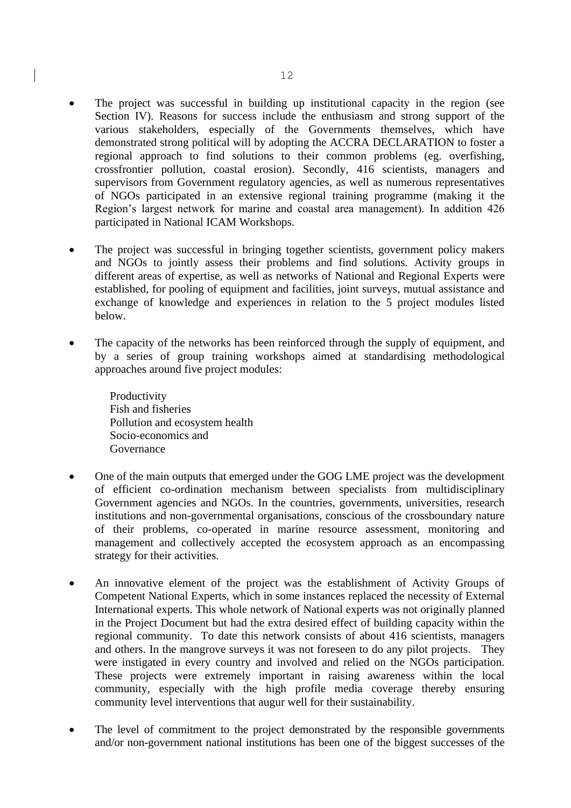- The project was successful in building up institutional capacity in the region (see Section IV). Reasons for success include the enthusiasm and strong support of the various stakeholders, especially of the Governments themselves, which have demonstrated strong political will by adopting the ACCRA DECLARATION to foster a regional approach to find solutions to their common problems (eg. overfishing, crossfrontier pollution, coastal erosion). Secondly, 416 scientists, managers and supervisors from Government regulatory agencies, as well as numerous representatives of NGOs participated in an extensive regional training programme (making it the Region's largest network for marine and coastal area management). In addition 426 participated in National ICAM Workshops.
- The project was successful in bringing together scientists, government policy makers and NGOs to jointly assess their problems and find solutions. Activity groups in different areas of expertise, as well as networks of National and Regional Experts were established, for pooling of equipment and facilities, joint surveys, mutual assistance and exchange of knowledge and experiences in relation to the 5 project modules listed below.
- The capacity of the networks has been reinforced through the supply of equipment, and by a series of group training workshops aimed at standardising methodological approaches around five project modules:
	- Productivity Fish and fisheries Pollution and ecosystem health Socio-economics and Governance
- One of the main outputs that emerged under the GOG LME project was the development of efficient co-ordination mechanism between specialists from multidisciplinary Government agencies and NGOs. In the countries, governments, universities, research institutions and non-governmental organisations, conscious of the crossboundary nature of their problems, co-operated in marine resource assessment, monitoring and management and collectively accepted the ecosystem approach as an encompassing strategy for their activities.
- An innovative element of the project was the establishment of Activity Groups of Competent National Experts, which in some instances replaced the necessity of External International experts. This whole network of National experts was not originally planned in the Project Document but had the extra desired effect of building capacity within the regional community. To date this network consists of about 416 scientists, managers and others. In the mangrove surveys it was not foreseen to do any pilot projects. They were instigated in every country and involved and relied on the NGOs participation. These projects were extremely important in raising awareness within the local community, especially with the high profile media coverage thereby ensuring community level interventions that augur well for their sustainability.
- The level of commitment to the project demonstrated by the responsible governments and/or non-government national institutions has been one of the biggest successes of the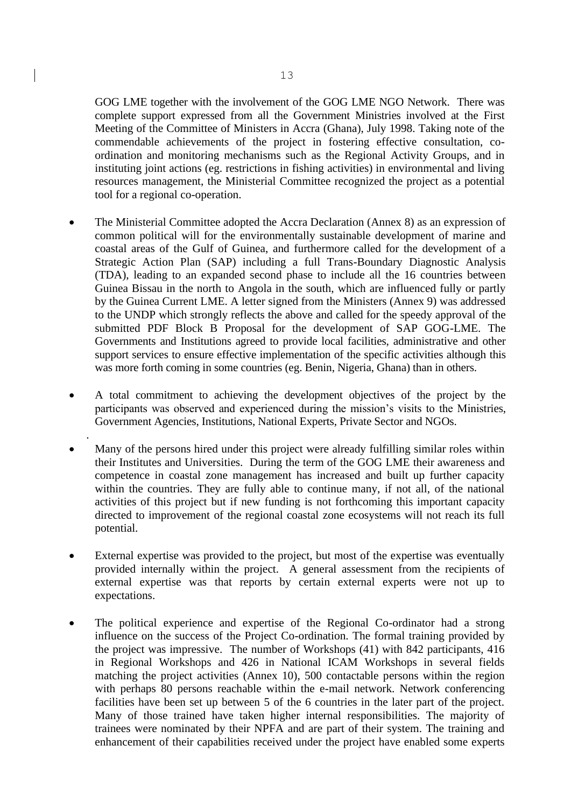GOG LME together with the involvement of the GOG LME NGO Network. There was complete support expressed from all the Government Ministries involved at the First Meeting of the Committee of Ministers in Accra (Ghana), July 1998. Taking note of the commendable achievements of the project in fostering effective consultation, coordination and monitoring mechanisms such as the Regional Activity Groups, and in instituting joint actions (eg. restrictions in fishing activities) in environmental and living resources management, the Ministerial Committee recognized the project as a potential tool for a regional co-operation.

- The Ministerial Committee adopted the Accra Declaration (Annex 8) as an expression of common political will for the environmentally sustainable development of marine and coastal areas of the Gulf of Guinea, and furthermore called for the development of a Strategic Action Plan (SAP) including a full Trans-Boundary Diagnostic Analysis (TDA), leading to an expanded second phase to include all the 16 countries between Guinea Bissau in the north to Angola in the south, which are influenced fully or partly by the Guinea Current LME. A letter signed from the Ministers (Annex 9) was addressed to the UNDP which strongly reflects the above and called for the speedy approval of the submitted PDF Block B Proposal for the development of SAP GOG-LME. The Governments and Institutions agreed to provide local facilities, administrative and other support services to ensure effective implementation of the specific activities although this was more forth coming in some countries (eg. Benin, Nigeria, Ghana) than in others.
- A total commitment to achieving the development objectives of the project by the participants was observed and experienced during the mission's visits to the Ministries, Government Agencies, Institutions, National Experts, Private Sector and NGOs.

.

- Many of the persons hired under this project were already fulfilling similar roles within their Institutes and Universities. During the term of the GOG LME their awareness and competence in coastal zone management has increased and built up further capacity within the countries. They are fully able to continue many, if not all, of the national activities of this project but if new funding is not forthcoming this important capacity directed to improvement of the regional coastal zone ecosystems will not reach its full potential.
- External expertise was provided to the project, but most of the expertise was eventually provided internally within the project. A general assessment from the recipients of external expertise was that reports by certain external experts were not up to expectations.
- The political experience and expertise of the Regional Co-ordinator had a strong influence on the success of the Project Co-ordination. The formal training provided by the project was impressive. The number of Workshops (41) with 842 participants, 416 in Regional Workshops and 426 in National ICAM Workshops in several fields matching the project activities (Annex 10), 500 contactable persons within the region with perhaps 80 persons reachable within the e-mail network. Network conferencing facilities have been set up between 5 of the 6 countries in the later part of the project. Many of those trained have taken higher internal responsibilities. The majority of trainees were nominated by their NPFA and are part of their system. The training and enhancement of their capabilities received under the project have enabled some experts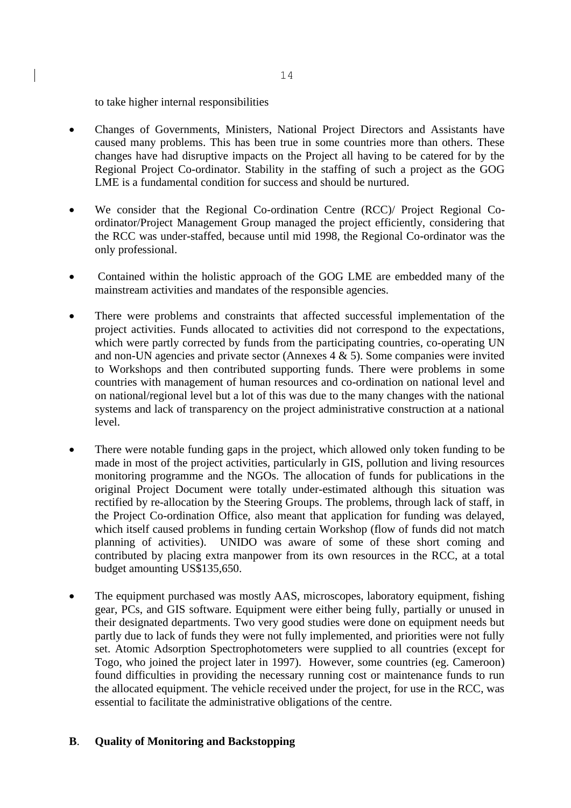to take higher internal responsibilities

- Changes of Governments, Ministers, National Project Directors and Assistants have caused many problems. This has been true in some countries more than others. These changes have had disruptive impacts on the Project all having to be catered for by the Regional Project Co-ordinator. Stability in the staffing of such a project as the GOG LME is a fundamental condition for success and should be nurtured.
- We consider that the Regional Co-ordination Centre (RCC)/ Project Regional Coordinator/Project Management Group managed the project efficiently, considering that the RCC was under-staffed, because until mid 1998, the Regional Co-ordinator was the only professional.
- Contained within the holistic approach of the GOG LME are embedded many of the mainstream activities and mandates of the responsible agencies.
- There were problems and constraints that affected successful implementation of the project activities. Funds allocated to activities did not correspond to the expectations, which were partly corrected by funds from the participating countries, co-operating UN and non-UN agencies and private sector (Annexes 4 & 5). Some companies were invited to Workshops and then contributed supporting funds. There were problems in some countries with management of human resources and co-ordination on national level and on national/regional level but a lot of this was due to the many changes with the national systems and lack of transparency on the project administrative construction at a national level.
- There were notable funding gaps in the project, which allowed only token funding to be made in most of the project activities, particularly in GIS, pollution and living resources monitoring programme and the NGOs. The allocation of funds for publications in the original Project Document were totally under-estimated although this situation was rectified by re-allocation by the Steering Groups. The problems, through lack of staff, in the Project Co-ordination Office, also meant that application for funding was delayed, which itself caused problems in funding certain Workshop (flow of funds did not match planning of activities). UNIDO was aware of some of these short coming and contributed by placing extra manpower from its own resources in the RCC, at a total budget amounting US\$135,650.
- The equipment purchased was mostly AAS, microscopes, laboratory equipment, fishing gear, PCs, and GIS software. Equipment were either being fully, partially or unused in their designated departments. Two very good studies were done on equipment needs but partly due to lack of funds they were not fully implemented, and priorities were not fully set. Atomic Adsorption Spectrophotometers were supplied to all countries (except for Togo, who joined the project later in 1997). However, some countries (eg. Cameroon) found difficulties in providing the necessary running cost or maintenance funds to run the allocated equipment. The vehicle received under the project, for use in the RCC, was essential to facilitate the administrative obligations of the centre.

## **B**. **Quality of Monitoring and Backstopping**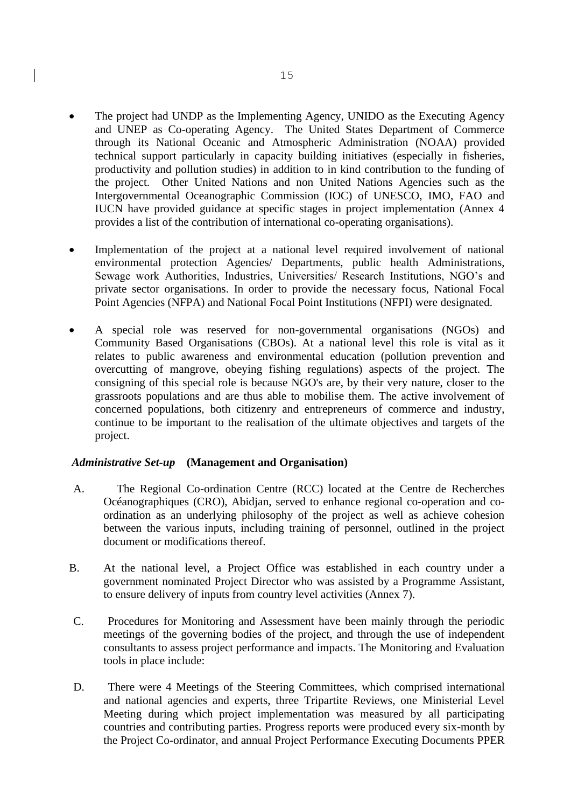- The project had UNDP as the Implementing Agency, UNIDO as the Executing Agency and UNEP as Co-operating Agency. The United States Department of Commerce through its National Oceanic and Atmospheric Administration (NOAA) provided technical support particularly in capacity building initiatives (especially in fisheries, productivity and pollution studies) in addition to in kind contribution to the funding of the project. Other United Nations and non United Nations Agencies such as the Intergovernmental Oceanographic Commission (IOC) of UNESCO, IMO, FAO and IUCN have provided guidance at specific stages in project implementation (Annex 4 provides a list of the contribution of international co-operating organisations).
- Implementation of the project at a national level required involvement of national environmental protection Agencies/ Departments, public health Administrations, Sewage work Authorities, Industries, Universities/ Research Institutions, NGO's and private sector organisations. In order to provide the necessary focus, National Focal Point Agencies (NFPA) and National Focal Point Institutions (NFPI) were designated.
- A special role was reserved for non-governmental organisations (NGOs) and Community Based Organisations (CBOs). At a national level this role is vital as it relates to public awareness and environmental education (pollution prevention and overcutting of mangrove, obeying fishing regulations) aspects of the project. The consigning of this special role is because NGO's are, by their very nature, closer to the grassroots populations and are thus able to mobilise them. The active involvement of concerned populations, both citizenry and entrepreneurs of commerce and industry, continue to be important to the realisation of the ultimate objectives and targets of the project.

### *Administrative Set-up* **(Management and Organisation)**

- A. The Regional Co-ordination Centre (RCC) located at the Centre de Recherches Océanographiques (CRO), Abidjan, served to enhance regional co-operation and coordination as an underlying philosophy of the project as well as achieve cohesion between the various inputs, including training of personnel, outlined in the project document or modifications thereof.
- B. At the national level, a Project Office was established in each country under a government nominated Project Director who was assisted by a Programme Assistant, to ensure delivery of inputs from country level activities (Annex 7).
- C. Procedures for Monitoring and Assessment have been mainly through the periodic meetings of the governing bodies of the project, and through the use of independent consultants to assess project performance and impacts. The Monitoring and Evaluation tools in place include:
- D. There were 4 Meetings of the Steering Committees, which comprised international and national agencies and experts, three Tripartite Reviews, one Ministerial Level Meeting during which project implementation was measured by all participating countries and contributing parties. Progress reports were produced every six-month by the Project Co-ordinator, and annual Project Performance Executing Documents PPER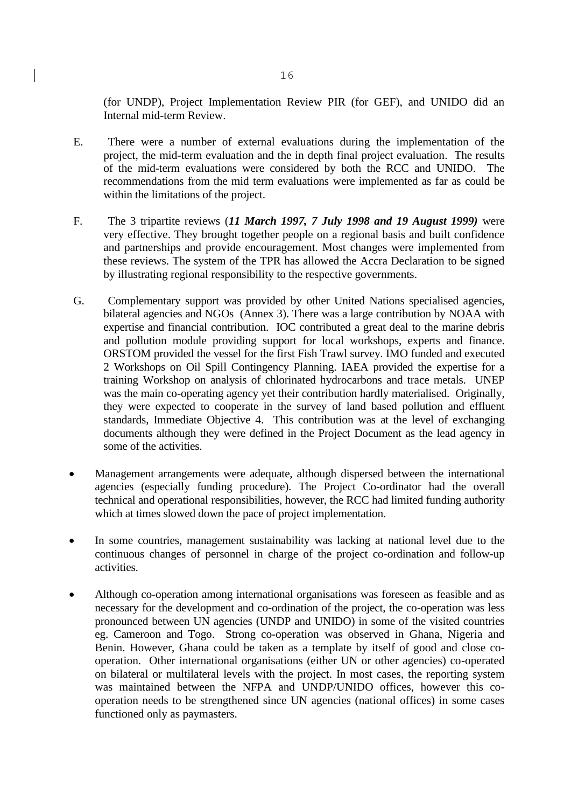(for UNDP), Project Implementation Review PIR (for GEF), and UNIDO did an Internal mid-term Review.

- E. There were a number of external evaluations during the implementation of the project, the mid-term evaluation and the in depth final project evaluation. The results of the mid-term evaluations were considered by both the RCC and UNIDO. The recommendations from the mid term evaluations were implemented as far as could be within the limitations of the project.
- F. The 3 tripartite reviews (*11 March 1997, 7 July 1998 and 19 August 1999)* were very effective. They brought together people on a regional basis and built confidence and partnerships and provide encouragement. Most changes were implemented from these reviews. The system of the TPR has allowed the Accra Declaration to be signed by illustrating regional responsibility to the respective governments.
- G. Complementary support was provided by other United Nations specialised agencies, bilateral agencies and NGOs (Annex 3). There was a large contribution by NOAA with expertise and financial contribution. IOC contributed a great deal to the marine debris and pollution module providing support for local workshops, experts and finance. ORSTOM provided the vessel for the first Fish Trawl survey. IMO funded and executed 2 Workshops on Oil Spill Contingency Planning. IAEA provided the expertise for a training Workshop on analysis of chlorinated hydrocarbons and trace metals. UNEP was the main co-operating agency yet their contribution hardly materialised. Originally, they were expected to cooperate in the survey of land based pollution and effluent standards, Immediate Objective 4. This contribution was at the level of exchanging documents although they were defined in the Project Document as the lead agency in some of the activities.
- Management arrangements were adequate, although dispersed between the international agencies (especially funding procedure). The Project Co-ordinator had the overall technical and operational responsibilities, however, the RCC had limited funding authority which at times slowed down the pace of project implementation.
- In some countries, management sustainability was lacking at national level due to the continuous changes of personnel in charge of the project co-ordination and follow-up activities.
- Although co-operation among international organisations was foreseen as feasible and as necessary for the development and co-ordination of the project, the co-operation was less pronounced between UN agencies (UNDP and UNIDO) in some of the visited countries eg. Cameroon and Togo. Strong co-operation was observed in Ghana, Nigeria and Benin. However, Ghana could be taken as a template by itself of good and close cooperation. Other international organisations (either UN or other agencies) co-operated on bilateral or multilateral levels with the project. In most cases, the reporting system was maintained between the NFPA and UNDP/UNIDO offices, however this cooperation needs to be strengthened since UN agencies (national offices) in some cases functioned only as paymasters.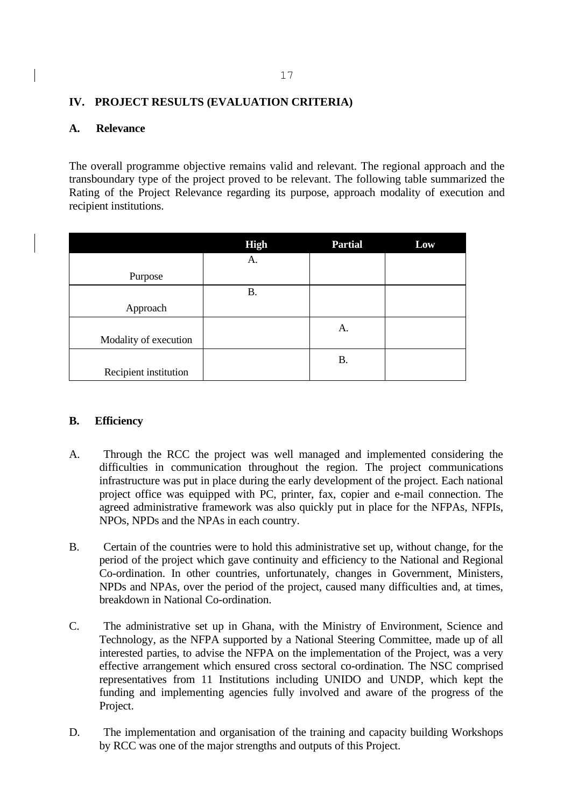# **IV. PROJECT RESULTS (EVALUATION CRITERIA)**

## **A. Relevance**

The overall programme objective remains valid and relevant. The regional approach and the transboundary type of the project proved to be relevant. The following table summarized the Rating of the Project Relevance regarding its purpose, approach modality of execution and recipient institutions.

|                       | <b>High</b> | <b>Partial</b> | Low |
|-----------------------|-------------|----------------|-----|
|                       | A.          |                |     |
| Purpose               |             |                |     |
|                       | <b>B.</b>   |                |     |
| Approach              |             |                |     |
|                       |             | A.             |     |
| Modality of execution |             |                |     |
|                       |             | <b>B.</b>      |     |
| Recipient institution |             |                |     |

### **B. Efficiency**

- A. Through the RCC the project was well managed and implemented considering the difficulties in communication throughout the region. The project communications infrastructure was put in place during the early development of the project. Each national project office was equipped with PC, printer, fax, copier and e-mail connection. The agreed administrative framework was also quickly put in place for the NFPAs, NFPIs, NPOs, NPDs and the NPAs in each country.
- B. Certain of the countries were to hold this administrative set up, without change, for the period of the project which gave continuity and efficiency to the National and Regional Co-ordination. In other countries, unfortunately, changes in Government, Ministers, NPDs and NPAs, over the period of the project, caused many difficulties and, at times, breakdown in National Co-ordination.
- C. The administrative set up in Ghana, with the Ministry of Environment, Science and Technology, as the NFPA supported by a National Steering Committee, made up of all interested parties, to advise the NFPA on the implementation of the Project, was a very effective arrangement which ensured cross sectoral co-ordination. The NSC comprised representatives from 11 Institutions including UNIDO and UNDP, which kept the funding and implementing agencies fully involved and aware of the progress of the Project.
- D. The implementation and organisation of the training and capacity building Workshops by RCC was one of the major strengths and outputs of this Project.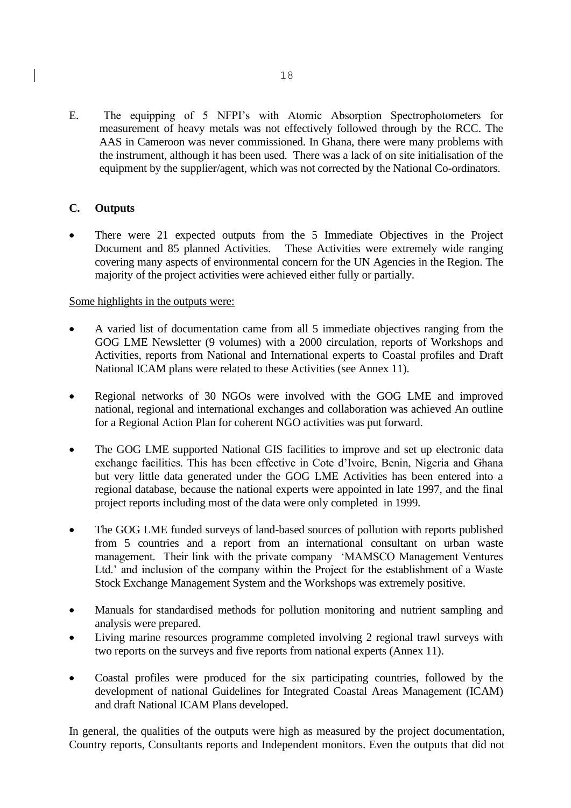E. The equipping of 5 NFPI's with Atomic Absorption Spectrophotometers for measurement of heavy metals was not effectively followed through by the RCC. The AAS in Cameroon was never commissioned. In Ghana, there were many problems with the instrument, although it has been used. There was a lack of on site initialisation of the equipment by the supplier/agent, which was not corrected by the National Co-ordinators.

# **C. Outputs**

There were 21 expected outputs from the 5 Immediate Objectives in the Project Document and 85 planned Activities. These Activities were extremely wide ranging covering many aspects of environmental concern for the UN Agencies in the Region. The majority of the project activities were achieved either fully or partially.

## Some highlights in the outputs were:

- A varied list of documentation came from all 5 immediate objectives ranging from the GOG LME Newsletter (9 volumes) with a 2000 circulation, reports of Workshops and Activities, reports from National and International experts to Coastal profiles and Draft National ICAM plans were related to these Activities (see Annex 11).
- Regional networks of 30 NGOs were involved with the GOG LME and improved national, regional and international exchanges and collaboration was achieved An outline for a Regional Action Plan for coherent NGO activities was put forward.
- The GOG LME supported National GIS facilities to improve and set up electronic data exchange facilities. This has been effective in Cote d'Ivoire, Benin, Nigeria and Ghana but very little data generated under the GOG LME Activities has been entered into a regional database, because the national experts were appointed in late 1997, and the final project reports including most of the data were only completed in 1999.
- The GOG LME funded surveys of land-based sources of pollution with reports published from 5 countries and a report from an international consultant on urban waste management. Their link with the private company 'MAMSCO Management Ventures Ltd.' and inclusion of the company within the Project for the establishment of a Waste Stock Exchange Management System and the Workshops was extremely positive.
- Manuals for standardised methods for pollution monitoring and nutrient sampling and analysis were prepared.
- Living marine resources programme completed involving 2 regional trawl surveys with two reports on the surveys and five reports from national experts (Annex 11).
- Coastal profiles were produced for the six participating countries, followed by the development of national Guidelines for Integrated Coastal Areas Management (ICAM) and draft National ICAM Plans developed.

In general, the qualities of the outputs were high as measured by the project documentation, Country reports, Consultants reports and Independent monitors. Even the outputs that did not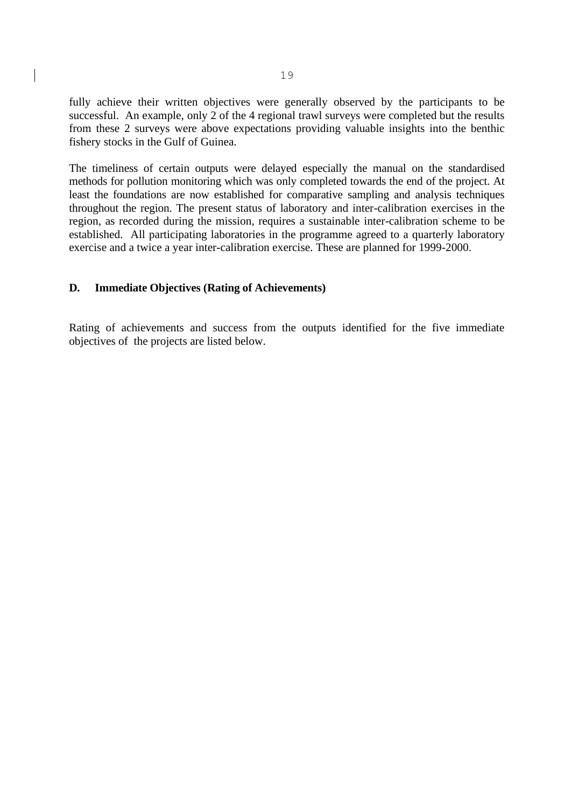fully achieve their written objectives were generally observed by the participants to be successful. An example, only 2 of the 4 regional trawl surveys were completed but the results from these 2 surveys were above expectations providing valuable insights into the benthic fishery stocks in the Gulf of Guinea.

The timeliness of certain outputs were delayed especially the manual on the standardised methods for pollution monitoring which was only completed towards the end of the project. At least the foundations are now established for comparative sampling and analysis techniques throughout the region. The present status of laboratory and inter-calibration exercises in the region, as recorded during the mission, requires a sustainable inter-calibration scheme to be established. All participating laboratories in the programme agreed to a quarterly laboratory exercise and a twice a year inter-calibration exercise. These are planned for 1999-2000.

### **D. Immediate Objectives (Rating of Achievements)**

Rating of achievements and success from the outputs identified for the five immediate objectives of the projects are listed below.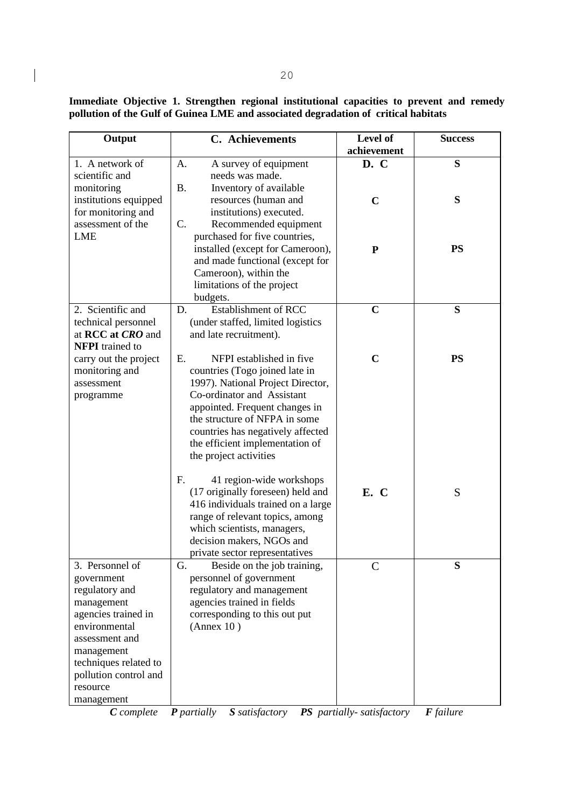**Immediate Objective 1. Strengthen regional institutional capacities to prevent and remedy pollution of the Gulf of Guinea LME and associated degradation of critical habitats**

| Output                                   | <b>C.</b> Achievements                      | Level of<br>achievement | <b>Success</b> |
|------------------------------------------|---------------------------------------------|-------------------------|----------------|
| 1. A network of                          | A survey of equipment<br>A.                 | D. C                    | S              |
| scientific and                           | needs was made.                             |                         |                |
| monitoring                               | Inventory of available<br><b>B.</b>         |                         |                |
| institutions equipped                    | resources (human and                        | $\mathbf C$             | S              |
| for monitoring and                       | institutions) executed.                     |                         |                |
| assessment of the                        | C.<br>Recommended equipment                 |                         |                |
| <b>LME</b>                               | purchased for five countries,               |                         |                |
|                                          | installed (except for Cameroon),            | ${\bf P}$               | <b>PS</b>      |
|                                          | and made functional (except for             |                         |                |
|                                          | Cameroon), within the                       |                         |                |
|                                          | limitations of the project                  |                         |                |
|                                          | budgets.                                    |                         |                |
| 2. Scientific and                        | <b>Establishment of RCC</b><br>D.           | $\mathbf C$             | S              |
| technical personnel<br>at RCC at CRO and | (under staffed, limited logistics           |                         |                |
| <b>NFPI</b> trained to                   | and late recruitment).                      |                         |                |
| carry out the project                    | NFPI established in five<br>Е.              | $\mathbf C$             | <b>PS</b>      |
| monitoring and                           | countries (Togo joined late in              |                         |                |
| assessment                               | 1997). National Project Director,           |                         |                |
| programme                                | Co-ordinator and Assistant                  |                         |                |
|                                          | appointed. Frequent changes in              |                         |                |
|                                          | the structure of NFPA in some               |                         |                |
|                                          | countries has negatively affected           |                         |                |
|                                          | the efficient implementation of             |                         |                |
|                                          | the project activities                      |                         |                |
|                                          | 41 region-wide workshops<br>F.              |                         |                |
|                                          | (17 originally foreseen) held and           | E. C                    | S              |
|                                          | 416 individuals trained on a large          |                         |                |
|                                          | range of relevant topics, among             |                         |                |
|                                          | which scientists, managers,                 |                         |                |
|                                          | decision makers, NGOs and                   |                         |                |
|                                          | private sector representatives              |                         |                |
| 3. Personnel of                          | G.<br>Beside on the job training,           | $\mathsf{C}$            | S              |
| government                               | personnel of government                     |                         |                |
| regulatory and                           | regulatory and management                   |                         |                |
| management                               | agencies trained in fields                  |                         |                |
| agencies trained in<br>environmental     | corresponding to this out put<br>(Annex 10) |                         |                |
| assessment and                           |                                             |                         |                |
| management                               |                                             |                         |                |
| techniques related to                    |                                             |                         |                |
| pollution control and                    |                                             |                         |                |
| resource                                 |                                             |                         |                |
| management                               |                                             |                         |                |

*C complete P partially S satisfactory PS partially- satisfactory F failure*

 $\overline{\phantom{a}}$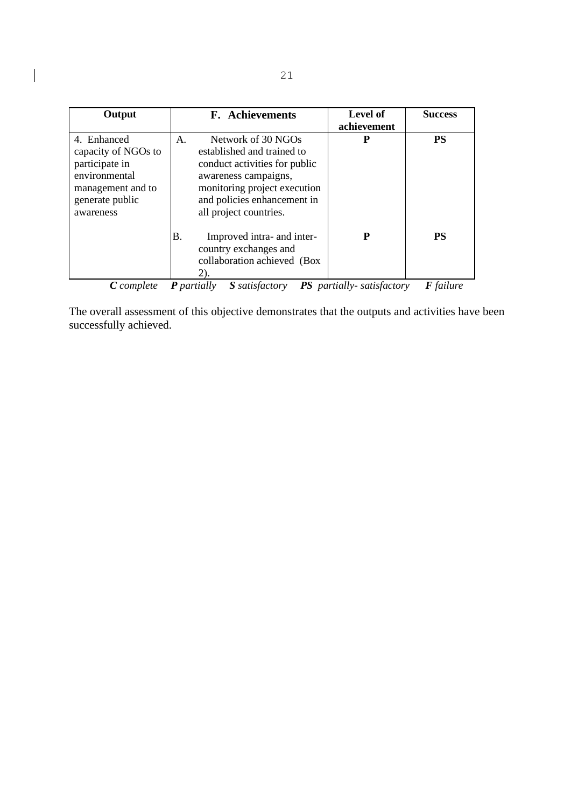| Output                                                                                                                     | <b>F.</b> Achievements                                                                                                                                                                                   | Level of<br>achievement          | <b>Success</b>   |
|----------------------------------------------------------------------------------------------------------------------------|----------------------------------------------------------------------------------------------------------------------------------------------------------------------------------------------------------|----------------------------------|------------------|
| 4. Enhanced<br>capacity of NGOs to<br>participate in<br>environmental<br>management and to<br>generate public<br>awareness | Network of 30 NGOs<br>A.<br>established and trained to<br>conduct activities for public<br>awareness campaigns,<br>monitoring project execution<br>and policies enhancement in<br>all project countries. | P                                | <b>PS</b>        |
|                                                                                                                            | Β.<br>Improved intra- and inter-<br>country exchanges and<br>collaboration achieved (Box<br>2).                                                                                                          | P                                | <b>PS</b>        |
| <b>C</b> complete                                                                                                          | <b>P</b> partially<br><b>S</b> satisfactory                                                                                                                                                              | <b>PS</b> partially-satisfactory | <b>F</b> failure |

The overall assessment of this objective demonstrates that the outputs and activities have been successfully achieved.

 $\begin{array}{|c|c|} \hline \rule{0pt}{12pt} \rule{0pt}{2.5pt} \rule{0pt}{2.5pt} \rule{0pt}{2.5pt} \rule{0pt}{2.5pt} \rule{0pt}{2.5pt} \rule{0pt}{2.5pt} \rule{0pt}{2.5pt} \rule{0pt}{2.5pt} \rule{0pt}{2.5pt} \rule{0pt}{2.5pt} \rule{0pt}{2.5pt} \rule{0pt}{2.5pt} \rule{0pt}{2.5pt} \rule{0pt}{2.5pt} \rule{0pt}{2.5pt} \rule{0pt}{2.5pt} \rule{0pt}{2.5pt} \rule{0pt}{2.5$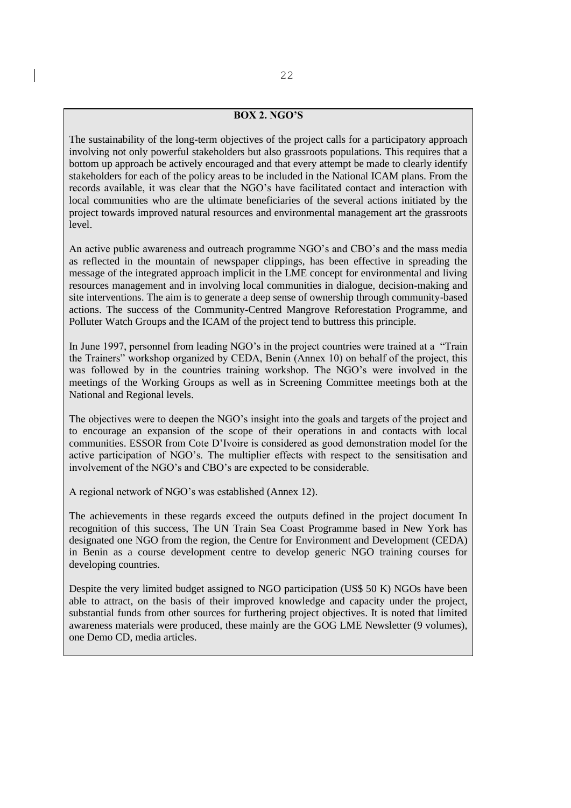### **BOX 2. NGO'S**

The sustainability of the long-term objectives of the project calls for a participatory approach involving not only powerful stakeholders but also grassroots populations. This requires that a bottom up approach be actively encouraged and that every attempt be made to clearly identify stakeholders for each of the policy areas to be included in the National ICAM plans. From the records available, it was clear that the NGO's have facilitated contact and interaction with local communities who are the ultimate beneficiaries of the several actions initiated by the project towards improved natural resources and environmental management art the grassroots level.

An active public awareness and outreach programme NGO's and CBO's and the mass media as reflected in the mountain of newspaper clippings, has been effective in spreading the message of the integrated approach implicit in the LME concept for environmental and living resources management and in involving local communities in dialogue, decision-making and site interventions. The aim is to generate a deep sense of ownership through community-based actions. The success of the Community-Centred Mangrove Reforestation Programme, and Polluter Watch Groups and the ICAM of the project tend to buttress this principle.

In June 1997, personnel from leading NGO's in the project countries were trained at a "Train the Trainers" workshop organized by CEDA, Benin (Annex 10) on behalf of the project, this was followed by in the countries training workshop. The NGO's were involved in the meetings of the Working Groups as well as in Screening Committee meetings both at the National and Regional levels.

The objectives were to deepen the NGO's insight into the goals and targets of the project and to encourage an expansion of the scope of their operations in and contacts with local communities. ESSOR from Cote D'Ivoire is considered as good demonstration model for the active participation of NGO's. The multiplier effects with respect to the sensitisation and involvement of the NGO's and CBO's are expected to be considerable.

A regional network of NGO's was established (Annex 12).

The achievements in these regards exceed the outputs defined in the project document In recognition of this success, The UN Train Sea Coast Programme based in New York has designated one NGO from the region, the Centre for Environment and Development (CEDA) in Benin as a course development centre to develop generic NGO training courses for developing countries.

Despite the very limited budget assigned to NGO participation (US\$ 50 K) NGOs have been able to attract, on the basis of their improved knowledge and capacity under the project, substantial funds from other sources for furthering project objectives. It is noted that limited awareness materials were produced, these mainly are the GOG LME Newsletter (9 volumes), one Demo CD, media articles.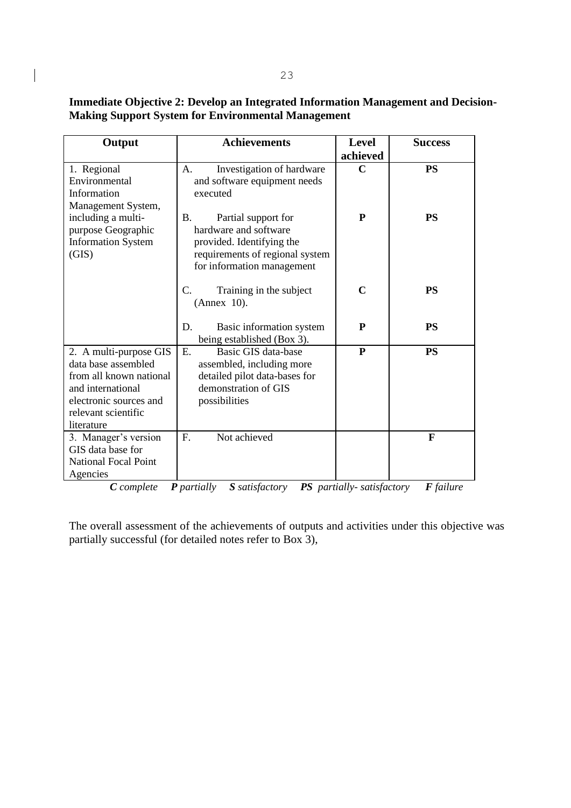**Immediate Objective 2: Develop an Integrated Information Management and Decision-Making Support System for Environmental Management**

| Output                      | <b>Achievements</b>             | <b>Level</b> | <b>Success</b> |
|-----------------------------|---------------------------------|--------------|----------------|
|                             |                                 | achieved     |                |
| 1. Regional                 | Investigation of hardware<br>A. | $\mathbf C$  | <b>PS</b>      |
| Environmental               | and software equipment needs    |              |                |
| Information                 | executed                        |              |                |
| Management System,          |                                 |              |                |
| including a multi-          | Partial support for<br>B.       | ${\bf P}$    | <b>PS</b>      |
| purpose Geographic          | hardware and software           |              |                |
| <b>Information System</b>   | provided. Identifying the       |              |                |
| (GIS)                       | requirements of regional system |              |                |
|                             | for information management      |              |                |
|                             | C.<br>Training in the subject   | $\mathbf C$  | <b>PS</b>      |
|                             | (Annex 10).                     |              |                |
|                             |                                 |              |                |
|                             | D.<br>Basic information system  | P            | <b>PS</b>      |
|                             | being established (Box 3).      |              |                |
| 2. A multi-purpose GIS      | Basic GIS data-base<br>Ε.       | ${\bf P}$    | <b>PS</b>      |
| data base assembled         | assembled, including more       |              |                |
| from all known national     | detailed pilot data-bases for   |              |                |
| and international           | demonstration of GIS            |              |                |
| electronic sources and      | possibilities                   |              |                |
| relevant scientific         |                                 |              |                |
| literature                  |                                 |              |                |
| 3. Manager's version        | Not achieved<br>F.              |              | $\mathbf F$    |
| GIS data base for           |                                 |              |                |
| <b>National Focal Point</b> |                                 |              |                |
| Agencies                    |                                 |              |                |

*C complete P partially S satisfactory PS partially- satisfactory F failure*

The overall assessment of the achievements of outputs and activities under this objective was partially successful (for detailed notes refer to Box 3),

 $\begin{array}{c} \end{array}$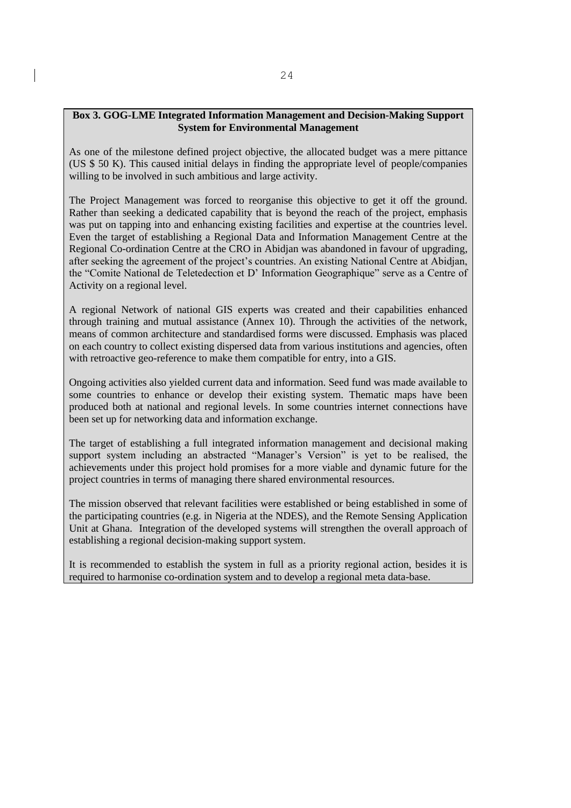### **Box 3. GOG-LME Integrated Information Management and Decision-Making Support System for Environmental Management**

As one of the milestone defined project objective, the allocated budget was a mere pittance (US \$ 50 K). This caused initial delays in finding the appropriate level of people/companies willing to be involved in such ambitious and large activity.

The Project Management was forced to reorganise this objective to get it off the ground. Rather than seeking a dedicated capability that is beyond the reach of the project, emphasis was put on tapping into and enhancing existing facilities and expertise at the countries level. Even the target of establishing a Regional Data and Information Management Centre at the Regional Co-ordination Centre at the CRO in Abidjan was abandoned in favour of upgrading, after seeking the agreement of the project's countries. An existing National Centre at Abidjan, the "Comite National de Teletedection et D' Information Geographique" serve as a Centre of Activity on a regional level.

A regional Network of national GIS experts was created and their capabilities enhanced through training and mutual assistance (Annex 10). Through the activities of the network, means of common architecture and standardised forms were discussed. Emphasis was placed on each country to collect existing dispersed data from various institutions and agencies, often with retroactive geo-reference to make them compatible for entry, into a GIS.

Ongoing activities also yielded current data and information. Seed fund was made available to some countries to enhance or develop their existing system. Thematic maps have been produced both at national and regional levels. In some countries internet connections have been set up for networking data and information exchange.

The target of establishing a full integrated information management and decisional making support system including an abstracted "Manager's Version" is yet to be realised, the achievements under this project hold promises for a more viable and dynamic future for the project countries in terms of managing there shared environmental resources.

The mission observed that relevant facilities were established or being established in some of the participating countries (e.g. in Nigeria at the NDES), and the Remote Sensing Application Unit at Ghana. Integration of the developed systems will strengthen the overall approach of establishing a regional decision-making support system.

It is recommended to establish the system in full as a priority regional action, besides it is required to harmonise co-ordination system and to develop a regional meta data-base.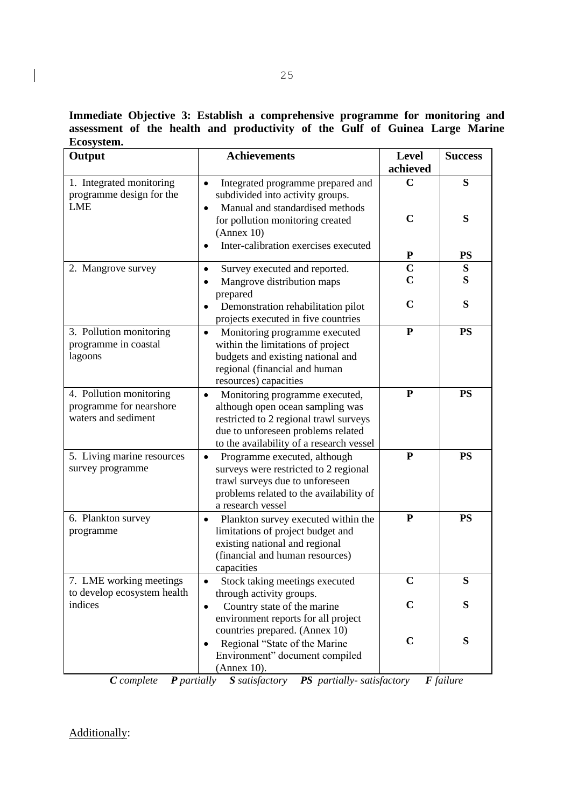**Immediate Objective 3: Establish a comprehensive programme for monitoring and assessment of the health and productivity of the Gulf of Guinea Large Marine Ecosystem.**

| Output                                                                    | <b>Achievements</b>                                                                                                                                                                                         | <b>Level</b><br>achieved      | <b>Success</b> |
|---------------------------------------------------------------------------|-------------------------------------------------------------------------------------------------------------------------------------------------------------------------------------------------------------|-------------------------------|----------------|
| 1. Integrated monitoring<br>programme design for the<br><b>LME</b>        | Integrated programme prepared and<br>$\bullet$<br>subdivided into activity groups.<br>Manual and standardised methods<br>for pollution monitoring created<br>(Annex 10)                                     | $\mathbf C$<br>$\mathbf C$    | S<br>S         |
|                                                                           | Inter-calibration exercises executed                                                                                                                                                                        | ${\bf P}$                     | <b>PS</b>      |
| 2. Mangrove survey                                                        | Survey executed and reported.<br>Mangrove distribution maps<br>prepared                                                                                                                                     | $\mathbf C$<br>$\overline{C}$ | S<br>S         |
|                                                                           | Demonstration rehabilitation pilot<br>$\bullet$<br>projects executed in five countries                                                                                                                      | $\mathbf C$                   | S              |
| 3. Pollution monitoring<br>programme in coastal<br>lagoons                | Monitoring programme executed<br>$\bullet$<br>within the limitations of project<br>budgets and existing national and<br>regional (financial and human<br>resources) capacities                              | ${\bf P}$                     | <b>PS</b>      |
| 4. Pollution monitoring<br>programme for nearshore<br>waters and sediment | Monitoring programme executed,<br>$\bullet$<br>although open ocean sampling was<br>restricted to 2 regional trawl surveys<br>due to unforeseen problems related<br>to the availability of a research vessel | ${\bf P}$                     | <b>PS</b>      |
| 5. Living marine resources<br>survey programme                            | Programme executed, although<br>$\bullet$<br>surveys were restricted to 2 regional<br>trawl surveys due to unforeseen<br>problems related to the availability of<br>a research vessel                       | P                             | <b>PS</b>      |
| 6. Plankton survey<br>programme                                           | Plankton survey executed within the<br>$\bullet$<br>limitations of project budget and<br>existing national and regional<br>(financial and human resources)<br>capacities                                    | ${\bf P}$                     | <b>PS</b>      |
| 7. LME working meetings<br>to develop ecosystem health                    | Stock taking meetings executed<br>through activity groups.                                                                                                                                                  |                               | S              |
| indices                                                                   | Country state of the marine<br>$\bullet$<br>environment reports for all project<br>countries prepared. (Annex 10)<br>Regional "State of the Marine<br>$\bullet$<br>Environment" document compiled           | $\mathbf C$<br>$\mathbf C$    | S<br>S         |
|                                                                           | (Annex 10).                                                                                                                                                                                                 |                               |                |

*C complete P partially S satisfactory PS partially- satisfactory F failure*

Additionally:

 $\begin{array}{c} \hline \end{array}$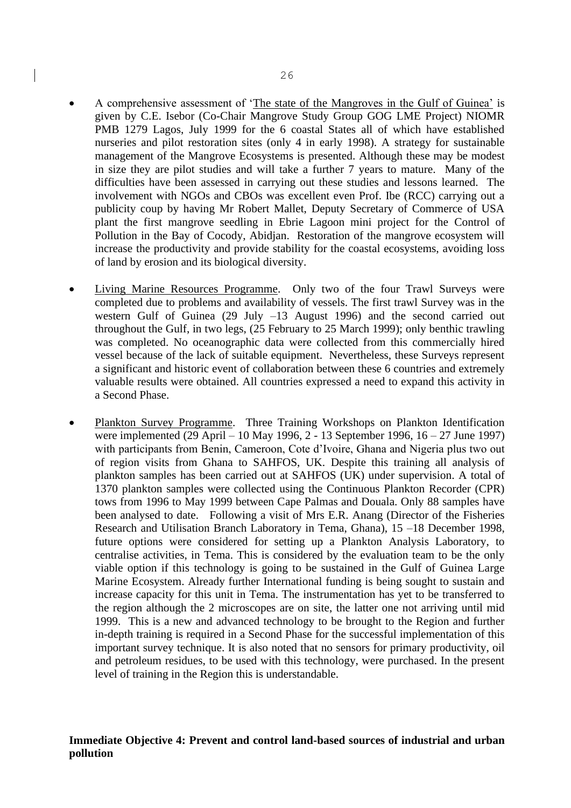- A comprehensive assessment of 'The state of the Mangroves in the Gulf of Guinea' is given by C.E. Isebor (Co-Chair Mangrove Study Group GOG LME Project) NIOMR PMB 1279 Lagos, July 1999 for the 6 coastal States all of which have established nurseries and pilot restoration sites (only 4 in early 1998). A strategy for sustainable management of the Mangrove Ecosystems is presented. Although these may be modest in size they are pilot studies and will take a further 7 years to mature. Many of the difficulties have been assessed in carrying out these studies and lessons learned. The involvement with NGOs and CBOs was excellent even Prof. Ibe (RCC) carrying out a publicity coup by having Mr Robert Mallet, Deputy Secretary of Commerce of USA plant the first mangrove seedling in Ebrie Lagoon mini project for the Control of Pollution in the Bay of Cocody, Abidjan. Restoration of the mangrove ecosystem will increase the productivity and provide stability for the coastal ecosystems, avoiding loss of land by erosion and its biological diversity.
- Living Marine Resources Programme. Only two of the four Trawl Surveys were completed due to problems and availability of vessels. The first trawl Survey was in the western Gulf of Guinea (29 July –13 August 1996) and the second carried out throughout the Gulf, in two legs, (25 February to 25 March 1999); only benthic trawling was completed. No oceanographic data were collected from this commercially hired vessel because of the lack of suitable equipment. Nevertheless, these Surveys represent a significant and historic event of collaboration between these 6 countries and extremely valuable results were obtained. All countries expressed a need to expand this activity in a Second Phase.
- Plankton Survey Programme. Three Training Workshops on Plankton Identification were implemented (29 April – 10 May 1996, 2 - 13 September 1996, 16 – 27 June 1997) with participants from Benin, Cameroon, Cote d'Ivoire, Ghana and Nigeria plus two out of region visits from Ghana to SAHFOS, UK. Despite this training all analysis of plankton samples has been carried out at SAHFOS (UK) under supervision. A total of 1370 plankton samples were collected using the Continuous Plankton Recorder (CPR) tows from 1996 to May 1999 between Cape Palmas and Douala. Only 88 samples have been analysed to date. Following a visit of Mrs E.R. Anang (Director of the Fisheries Research and Utilisation Branch Laboratory in Tema, Ghana), 15 –18 December 1998, future options were considered for setting up a Plankton Analysis Laboratory, to centralise activities, in Tema. This is considered by the evaluation team to be the only viable option if this technology is going to be sustained in the Gulf of Guinea Large Marine Ecosystem. Already further International funding is being sought to sustain and increase capacity for this unit in Tema. The instrumentation has yet to be transferred to the region although the 2 microscopes are on site, the latter one not arriving until mid 1999. This is a new and advanced technology to be brought to the Region and further in-depth training is required in a Second Phase for the successful implementation of this important survey technique. It is also noted that no sensors for primary productivity, oil and petroleum residues, to be used with this technology, were purchased. In the present level of training in the Region this is understandable.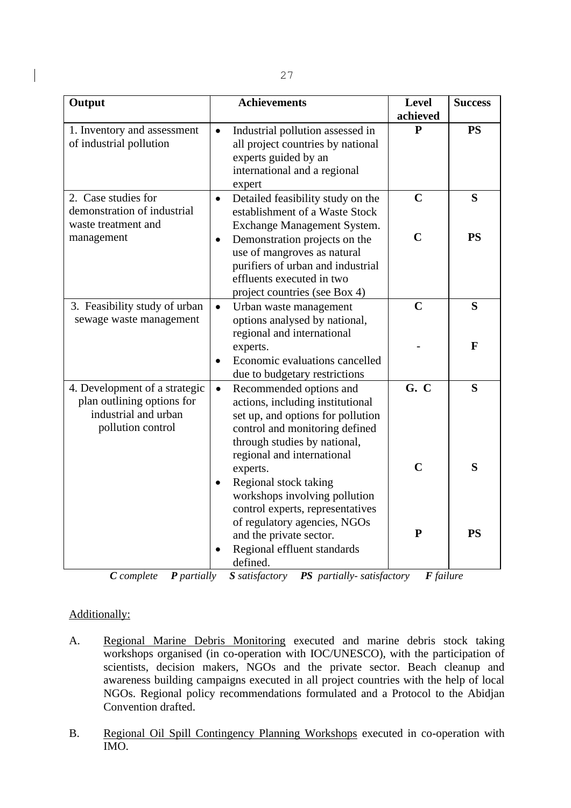| Output                                                                                                   | <b>Achievements</b>                                                                                                                                                                                                                                                                             | <b>Level</b><br>achieved    | <b>Success</b> |
|----------------------------------------------------------------------------------------------------------|-------------------------------------------------------------------------------------------------------------------------------------------------------------------------------------------------------------------------------------------------------------------------------------------------|-----------------------------|----------------|
| 1. Inventory and assessment<br>of industrial pollution                                                   | Industrial pollution assessed in<br>$\bullet$<br>all project countries by national<br>experts guided by an<br>international and a regional<br>expert                                                                                                                                            | P                           | <b>PS</b>      |
| 2. Case studies for<br>demonstration of industrial<br>waste treatment and<br>management                  | Detailed feasibility study on the<br>$\bullet$<br>establishment of a Waste Stock<br>Exchange Management System.<br>Demonstration projects on the<br>$\bullet$<br>use of mangroves as natural<br>purifiers of urban and industrial<br>effluents executed in two<br>project countries (see Box 4) | $\mathbf C$<br>$\mathbf C$  | S<br><b>PS</b> |
| 3. Feasibility study of urban<br>sewage waste management                                                 | $\bullet$<br>Urban waste management<br>options analysed by national,<br>regional and international<br>experts.<br>Economic evaluations cancelled<br>due to budgetary restrictions                                                                                                               | $\mathbf C$                 | S<br>F         |
| 4. Development of a strategic<br>plan outlining options for<br>industrial and urban<br>pollution control | Recommended options and<br>$\bullet$<br>actions, including institutional<br>set up, and options for pollution<br>control and monitoring defined<br>through studies by national,<br>regional and international                                                                                   | G. C                        | S              |
|                                                                                                          | experts.<br>Regional stock taking<br>$\bullet$<br>workshops involving pollution<br>control experts, representatives<br>of regulatory agencies, NGOs<br>and the private sector.                                                                                                                  | $\mathbf C$<br>$\mathbf{P}$ | S<br><b>PS</b> |
|                                                                                                          | Regional effluent standards<br>defined.                                                                                                                                                                                                                                                         |                             |                |

*C complete P partially S satisfactory PS partially- satisfactory F failure*

# Additionally:

- A. Regional Marine Debris Monitoring executed and marine debris stock taking workshops organised (in co-operation with IOC/UNESCO), with the participation of scientists, decision makers, NGOs and the private sector. Beach cleanup and awareness building campaigns executed in all project countries with the help of local NGOs. Regional policy recommendations formulated and a Protocol to the Abidjan Convention drafted.
- B. Regional Oil Spill Contingency Planning Workshops executed in co-operation with IMO.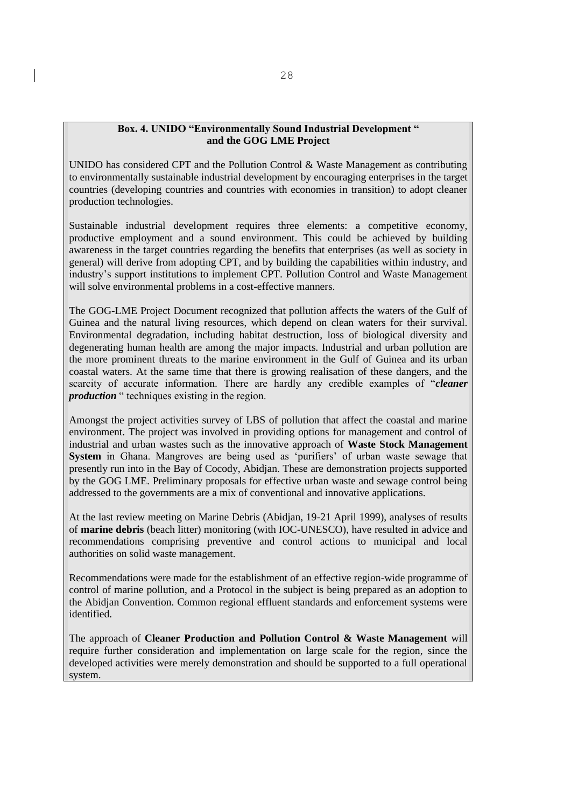#### **Box. 4. UNIDO "Environmentally Sound Industrial Development " and the GOG LME Project**

UNIDO has considered CPT and the Pollution Control & Waste Management as contributing to environmentally sustainable industrial development by encouraging enterprises in the target countries (developing countries and countries with economies in transition) to adopt cleaner production technologies.

Sustainable industrial development requires three elements: a competitive economy, productive employment and a sound environment. This could be achieved by building awareness in the target countries regarding the benefits that enterprises (as well as society in general) will derive from adopting CPT, and by building the capabilities within industry, and industry's support institutions to implement CPT. Pollution Control and Waste Management will solve environmental problems in a cost-effective manners.

The GOG-LME Project Document recognized that pollution affects the waters of the Gulf of Guinea and the natural living resources, which depend on clean waters for their survival. Environmental degradation, including habitat destruction, loss of biological diversity and degenerating human health are among the major impacts. Industrial and urban pollution are the more prominent threats to the marine environment in the Gulf of Guinea and its urban coastal waters. At the same time that there is growing realisation of these dangers, and the scarcity of accurate information. There are hardly any credible examples of "*cleaner production* " techniques existing in the region.

Amongst the project activities survey of LBS of pollution that affect the coastal and marine environment. The project was involved in providing options for management and control of industrial and urban wastes such as the innovative approach of **Waste Stock Management System** in Ghana. Mangroves are being used as 'purifiers' of urban waste sewage that presently run into in the Bay of Cocody, Abidjan. These are demonstration projects supported by the GOG LME. Preliminary proposals for effective urban waste and sewage control being addressed to the governments are a mix of conventional and innovative applications.

At the last review meeting on Marine Debris (Abidjan, 19-21 April 1999), analyses of results of **marine debris** (beach litter) monitoring (with IOC-UNESCO), have resulted in advice and recommendations comprising preventive and control actions to municipal and local authorities on solid waste management.

Recommendations were made for the establishment of an effective region-wide programme of control of marine pollution, and a Protocol in the subject is being prepared as an adoption to the Abidjan Convention. Common regional effluent standards and enforcement systems were identified.

The approach of **Cleaner Production and Pollution Control & Waste Management** will require further consideration and implementation on large scale for the region, since the developed activities were merely demonstration and should be supported to a full operational system.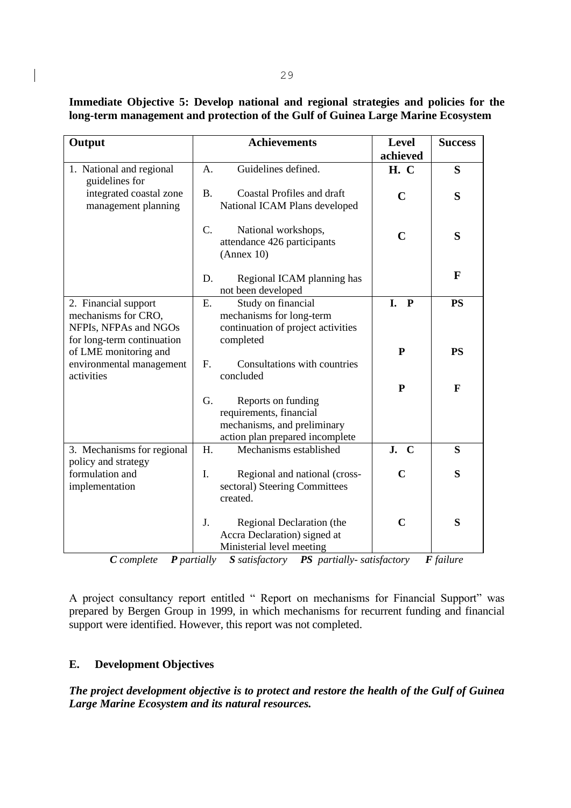| Immediate Objective 5: Develop national and regional strategies and policies for the |  |  |  |  |
|--------------------------------------------------------------------------------------|--|--|--|--|
| long-term management and protection of the Gulf of Guinea Large Marine Ecosystem     |  |  |  |  |

| Output                                                                                             |             | <b>Achievements</b>                                                                                             | <b>Level</b><br>achieved | <b>Success</b> |
|----------------------------------------------------------------------------------------------------|-------------|-----------------------------------------------------------------------------------------------------------------|--------------------------|----------------|
| 1. National and regional<br>guidelines for                                                         | A.          | Guidelines defined.                                                                                             | <b>H.</b> C              | S              |
| integrated coastal zone<br>management planning                                                     | <b>B.</b>   | <b>Coastal Profiles and draft</b><br>National ICAM Plans developed                                              | $\mathbf C$              | S              |
|                                                                                                    | C.          | National workshops,<br>attendance 426 participants<br>(Annex 10)                                                | $\mathbf C$              | S              |
|                                                                                                    | D.          | Regional ICAM planning has<br>not been developed                                                                |                          | F              |
| 2. Financial support<br>mechanisms for CRO,<br>NFPIs, NFPAs and NGOs<br>for long-term continuation | Ε.          | Study on financial<br>mechanisms for long-term<br>continuation of project activities<br>completed               | $\mathbf{P}$<br>I.       | <b>PS</b>      |
| of LME monitoring and<br>environmental management<br>activities                                    | $F_{\cdot}$ | Consultations with countries<br>concluded                                                                       | P                        | <b>PS</b>      |
|                                                                                                    | G.          | Reports on funding<br>requirements, financial<br>mechanisms, and preliminary<br>action plan prepared incomplete | P                        | F              |
| 3. Mechanisms for regional<br>policy and strategy                                                  | H.          | Mechanisms established                                                                                          | J.<br>$\mathbf C$        | S              |
| formulation and<br>implementation                                                                  | I.          | Regional and national (cross-<br>sectoral) Steering Committees<br>created.                                      | C                        | S              |
|                                                                                                    | J.          | Regional Declaration (the<br>Accra Declaration) signed at<br>Ministerial level meeting                          | $\mathbf C$              | S              |

*C complete P partially S satisfactory PS partially- satisfactory F failure*

A project consultancy report entitled " Report on mechanisms for Financial Support" was prepared by Bergen Group in 1999, in which mechanisms for recurrent funding and financial support were identified. However, this report was not completed.

# **E. Development Objectives**

*The project development objective is to protect and restore the health of the Gulf of Guinea Large Marine Ecosystem and its natural resources.*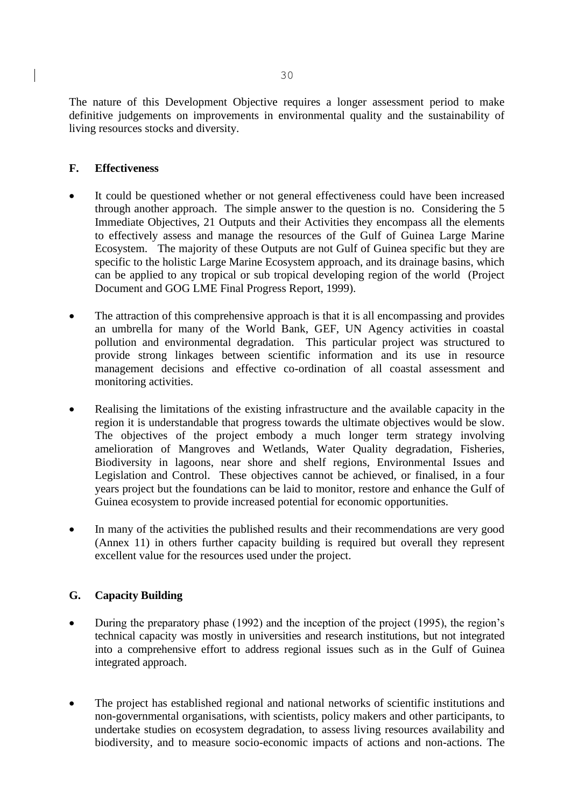The nature of this Development Objective requires a longer assessment period to make definitive judgements on improvements in environmental quality and the sustainability of living resources stocks and diversity.

# **F. Effectiveness**

- It could be questioned whether or not general effectiveness could have been increased through another approach. The simple answer to the question is no. Considering the 5 Immediate Objectives, 21 Outputs and their Activities they encompass all the elements to effectively assess and manage the resources of the Gulf of Guinea Large Marine Ecosystem. The majority of these Outputs are not Gulf of Guinea specific but they are specific to the holistic Large Marine Ecosystem approach, and its drainage basins, which can be applied to any tropical or sub tropical developing region of the world (Project Document and GOG LME Final Progress Report, 1999).
- The attraction of this comprehensive approach is that it is all encompassing and provides an umbrella for many of the World Bank, GEF, UN Agency activities in coastal pollution and environmental degradation. This particular project was structured to provide strong linkages between scientific information and its use in resource management decisions and effective co-ordination of all coastal assessment and monitoring activities.
- Realising the limitations of the existing infrastructure and the available capacity in the region it is understandable that progress towards the ultimate objectives would be slow. The objectives of the project embody a much longer term strategy involving amelioration of Mangroves and Wetlands, Water Quality degradation, Fisheries, Biodiversity in lagoons, near shore and shelf regions, Environmental Issues and Legislation and Control. These objectives cannot be achieved, or finalised, in a four years project but the foundations can be laid to monitor, restore and enhance the Gulf of Guinea ecosystem to provide increased potential for economic opportunities.
- In many of the activities the published results and their recommendations are very good (Annex 11) in others further capacity building is required but overall they represent excellent value for the resources used under the project.

# **G. Capacity Building**

- During the preparatory phase (1992) and the inception of the project (1995), the region's technical capacity was mostly in universities and research institutions, but not integrated into a comprehensive effort to address regional issues such as in the Gulf of Guinea integrated approach.
- The project has established regional and national networks of scientific institutions and non-governmental organisations, with scientists, policy makers and other participants, to undertake studies on ecosystem degradation, to assess living resources availability and biodiversity, and to measure socio-economic impacts of actions and non-actions. The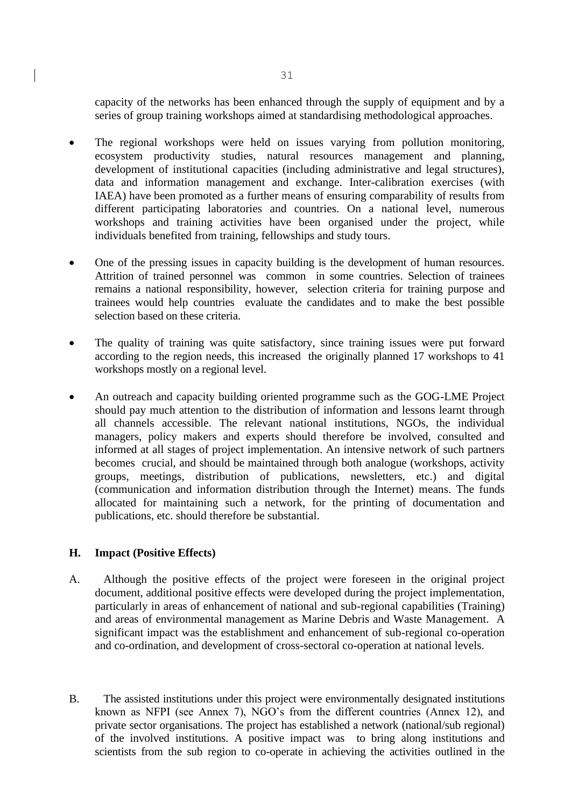capacity of the networks has been enhanced through the supply of equipment and by a series of group training workshops aimed at standardising methodological approaches.

- The regional workshops were held on issues varying from pollution monitoring, ecosystem productivity studies, natural resources management and planning, development of institutional capacities (including administrative and legal structures), data and information management and exchange. Inter-calibration exercises (with IAEA) have been promoted as a further means of ensuring comparability of results from different participating laboratories and countries. On a national level, numerous workshops and training activities have been organised under the project, while individuals benefited from training, fellowships and study tours.
- One of the pressing issues in capacity building is the development of human resources. Attrition of trained personnel was common in some countries. Selection of trainees remains a national responsibility, however, selection criteria for training purpose and trainees would help countries evaluate the candidates and to make the best possible selection based on these criteria.
- The quality of training was quite satisfactory, since training issues were put forward according to the region needs, this increased the originally planned 17 workshops to 41 workshops mostly on a regional level.
- An outreach and capacity building oriented programme such as the GOG-LME Project should pay much attention to the distribution of information and lessons learnt through all channels accessible. The relevant national institutions, NGOs, the individual managers, policy makers and experts should therefore be involved, consulted and informed at all stages of project implementation. An intensive network of such partners becomes crucial, and should be maintained through both analogue (workshops, activity groups, meetings, distribution of publications, newsletters, etc.) and digital (communication and information distribution through the Internet) means. The funds allocated for maintaining such a network, for the printing of documentation and publications, etc. should therefore be substantial.

## **H. Impact (Positive Effects)**

- A. Although the positive effects of the project were foreseen in the original project document, additional positive effects were developed during the project implementation, particularly in areas of enhancement of national and sub-regional capabilities (Training) and areas of environmental management as Marine Debris and Waste Management. A significant impact was the establishment and enhancement of sub-regional co-operation and co-ordination, and development of cross-sectoral co-operation at national levels.
- B. The assisted institutions under this project were environmentally designated institutions known as NFPI (see Annex 7), NGO's from the different countries (Annex 12), and private sector organisations. The project has established a network (national/sub regional) of the involved institutions. A positive impact was to bring along institutions and scientists from the sub region to co-operate in achieving the activities outlined in the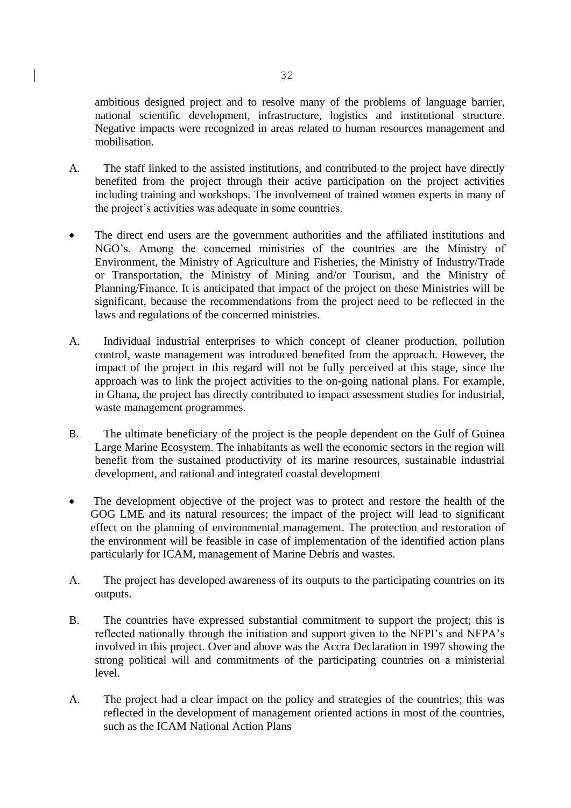ambitious designed project and to resolve many of the problems of language barrier, national scientific development, infrastructure, logistics and institutional structure. Negative impacts were recognized in areas related to human resources management and mobilisation.

- A. The staff linked to the assisted institutions, and contributed to the project have directly benefited from the project through their active participation on the project activities including training and workshops. The involvement of trained women experts in many of the project's activities was adequate in some countries.
- The direct end users are the government authorities and the affiliated institutions and NGO's. Among the concerned ministries of the countries are the Ministry of Environment, the Ministry of Agriculture and Fisheries, the Ministry of Industry/Trade or Transportation, the Ministry of Mining and/or Tourism, and the Ministry of Planning/Finance. It is anticipated that impact of the project on these Ministries will be significant, because the recommendations from the project need to be reflected in the laws and regulations of the concerned ministries.
- A. Individual industrial enterprises to which concept of cleaner production, pollution control, waste management was introduced benefited from the approach. However, the impact of the project in this regard will not be fully perceived at this stage, since the approach was to link the project activities to the on-going national plans. For example, in Ghana, the project has directly contributed to impact assessment studies for industrial, waste management programmes.
- B. The ultimate beneficiary of the project is the people dependent on the Gulf of Guinea Large Marine Ecosystem. The inhabitants as well the economic sectors in the region will benefit from the sustained productivity of its marine resources, sustainable industrial development, and rational and integrated coastal development
- The development objective of the project was to protect and restore the health of the GOG LME and its natural resources; the impact of the project will lead to significant effect on the planning of environmental management. The protection and restoration of the environment will be feasible in case of implementation of the identified action plans particularly for ICAM, management of Marine Debris and wastes.
- A. The project has developed awareness of its outputs to the participating countries on its outputs.
- B. The countries have expressed substantial commitment to support the project; this is reflected nationally through the initiation and support given to the NFPI's and NFPA's involved in this project. Over and above was the Accra Declaration in 1997 showing the strong political will and commitments of the participating countries on a ministerial level.
- A. The project had a clear impact on the policy and strategies of the countries; this was reflected in the development of management oriented actions in most of the countries, such as the ICAM National Action Plans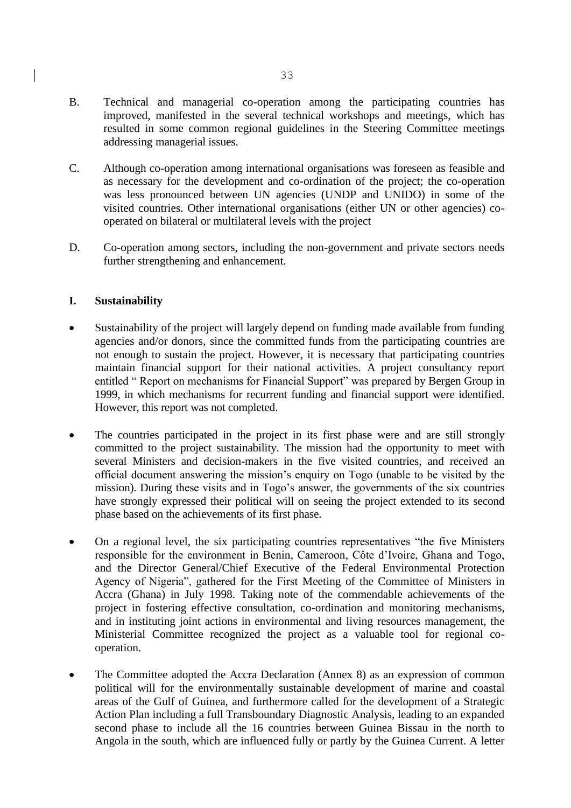- B. Technical and managerial co-operation among the participating countries has improved, manifested in the several technical workshops and meetings, which has resulted in some common regional guidelines in the Steering Committee meetings addressing managerial issues.
- C. Although co-operation among international organisations was foreseen as feasible and as necessary for the development and co-ordination of the project; the co-operation was less pronounced between UN agencies (UNDP and UNIDO) in some of the visited countries. Other international organisations (either UN or other agencies) cooperated on bilateral or multilateral levels with the project
- D. Co-operation among sectors, including the non-government and private sectors needs further strengthening and enhancement.

## **I. Sustainability**

- Sustainability of the project will largely depend on funding made available from funding agencies and/or donors, since the committed funds from the participating countries are not enough to sustain the project. However, it is necessary that participating countries maintain financial support for their national activities. A project consultancy report entitled " Report on mechanisms for Financial Support" was prepared by Bergen Group in 1999, in which mechanisms for recurrent funding and financial support were identified. However, this report was not completed.
- The countries participated in the project in its first phase were and are still strongly committed to the project sustainability. The mission had the opportunity to meet with several Ministers and decision-makers in the five visited countries, and received an official document answering the mission's enquiry on Togo (unable to be visited by the mission). During these visits and in Togo's answer, the governments of the six countries have strongly expressed their political will on seeing the project extended to its second phase based on the achievements of its first phase.
- On a regional level, the six participating countries representatives "the five Ministers responsible for the environment in Benin, Cameroon, Côte d'Ivoire, Ghana and Togo, and the Director General/Chief Executive of the Federal Environmental Protection Agency of Nigeria", gathered for the First Meeting of the Committee of Ministers in Accra (Ghana) in July 1998. Taking note of the commendable achievements of the project in fostering effective consultation, co-ordination and monitoring mechanisms, and in instituting joint actions in environmental and living resources management, the Ministerial Committee recognized the project as a valuable tool for regional cooperation.
- The Committee adopted the Accra Declaration (Annex 8) as an expression of common political will for the environmentally sustainable development of marine and coastal areas of the Gulf of Guinea, and furthermore called for the development of a Strategic Action Plan including a full Transboundary Diagnostic Analysis, leading to an expanded second phase to include all the 16 countries between Guinea Bissau in the north to Angola in the south, which are influenced fully or partly by the Guinea Current. A letter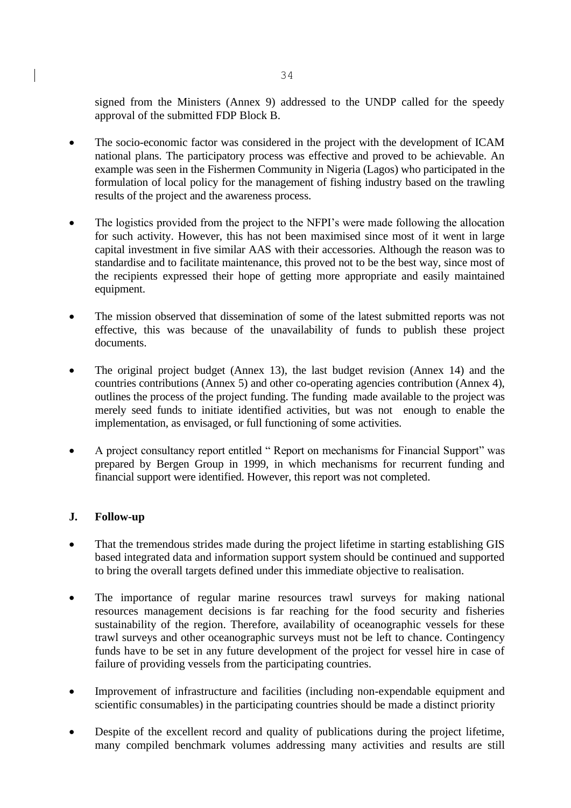signed from the Ministers (Annex 9) addressed to the UNDP called for the speedy approval of the submitted FDP Block B.

- The socio-economic factor was considered in the project with the development of ICAM national plans. The participatory process was effective and proved to be achievable. An example was seen in the Fishermen Community in Nigeria (Lagos) who participated in the formulation of local policy for the management of fishing industry based on the trawling results of the project and the awareness process.
- The logistics provided from the project to the NFPI's were made following the allocation for such activity. However, this has not been maximised since most of it went in large capital investment in five similar AAS with their accessories. Although the reason was to standardise and to facilitate maintenance, this proved not to be the best way, since most of the recipients expressed their hope of getting more appropriate and easily maintained equipment.
- The mission observed that dissemination of some of the latest submitted reports was not effective, this was because of the unavailability of funds to publish these project documents.
- The original project budget (Annex 13), the last budget revision (Annex 14) and the countries contributions (Annex 5) and other co-operating agencies contribution (Annex 4), outlines the process of the project funding. The funding made available to the project was merely seed funds to initiate identified activities, but was not enough to enable the implementation, as envisaged, or full functioning of some activities.
- A project consultancy report entitled "Report on mechanisms for Financial Support" was prepared by Bergen Group in 1999, in which mechanisms for recurrent funding and financial support were identified. However, this report was not completed.

# **J. Follow-up**

- That the tremendous strides made during the project lifetime in starting establishing GIS based integrated data and information support system should be continued and supported to bring the overall targets defined under this immediate objective to realisation.
- The importance of regular marine resources trawl surveys for making national resources management decisions is far reaching for the food security and fisheries sustainability of the region. Therefore, availability of oceanographic vessels for these trawl surveys and other oceanographic surveys must not be left to chance. Contingency funds have to be set in any future development of the project for vessel hire in case of failure of providing vessels from the participating countries.
- Improvement of infrastructure and facilities (including non-expendable equipment and scientific consumables) in the participating countries should be made a distinct priority
- Despite of the excellent record and quality of publications during the project lifetime, many compiled benchmark volumes addressing many activities and results are still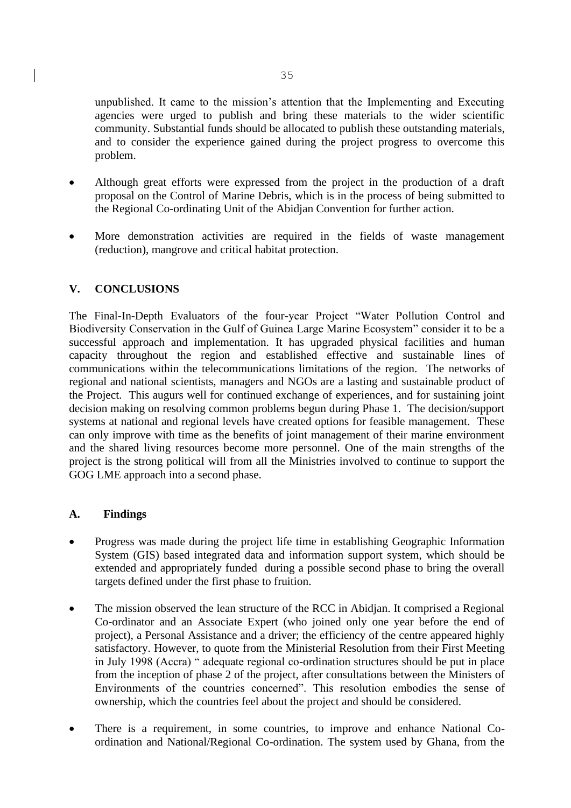unpublished. It came to the mission's attention that the Implementing and Executing agencies were urged to publish and bring these materials to the wider scientific community. Substantial funds should be allocated to publish these outstanding materials, and to consider the experience gained during the project progress to overcome this problem.

- Although great efforts were expressed from the project in the production of a draft proposal on the Control of Marine Debris, which is in the process of being submitted to the Regional Co-ordinating Unit of the Abidjan Convention for further action.
- More demonstration activities are required in the fields of waste management (reduction), mangrove and critical habitat protection.

## **V. CONCLUSIONS**

The Final-In-Depth Evaluators of the four-year Project "Water Pollution Control and Biodiversity Conservation in the Gulf of Guinea Large Marine Ecosystem" consider it to be a successful approach and implementation. It has upgraded physical facilities and human capacity throughout the region and established effective and sustainable lines of communications within the telecommunications limitations of the region. The networks of regional and national scientists, managers and NGOs are a lasting and sustainable product of the Project. This augurs well for continued exchange of experiences, and for sustaining joint decision making on resolving common problems begun during Phase 1. The decision/support systems at national and regional levels have created options for feasible management. These can only improve with time as the benefits of joint management of their marine environment and the shared living resources become more personnel. One of the main strengths of the project is the strong political will from all the Ministries involved to continue to support the GOG LME approach into a second phase.

## **A. Findings**

- Progress was made during the project life time in establishing Geographic Information System (GIS) based integrated data and information support system, which should be extended and appropriately funded during a possible second phase to bring the overall targets defined under the first phase to fruition.
- The mission observed the lean structure of the RCC in Abidjan. It comprised a Regional Co-ordinator and an Associate Expert (who joined only one year before the end of project), a Personal Assistance and a driver; the efficiency of the centre appeared highly satisfactory. However, to quote from the Ministerial Resolution from their First Meeting in July 1998 (Accra) " adequate regional co-ordination structures should be put in place from the inception of phase 2 of the project, after consultations between the Ministers of Environments of the countries concerned". This resolution embodies the sense of ownership, which the countries feel about the project and should be considered.
- There is a requirement, in some countries, to improve and enhance National Coordination and National/Regional Co-ordination. The system used by Ghana, from the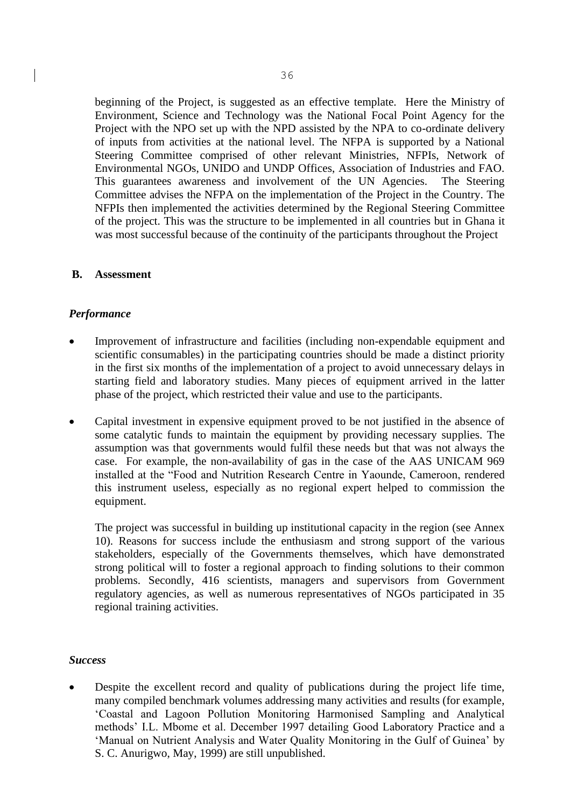beginning of the Project, is suggested as an effective template. Here the Ministry of Environment, Science and Technology was the National Focal Point Agency for the Project with the NPO set up with the NPD assisted by the NPA to co-ordinate delivery of inputs from activities at the national level. The NFPA is supported by a National Steering Committee comprised of other relevant Ministries, NFPIs, Network of Environmental NGOs, UNIDO and UNDP Offices, Association of Industries and FAO. This guarantees awareness and involvement of the UN Agencies. The Steering Committee advises the NFPA on the implementation of the Project in the Country. The NFPIs then implemented the activities determined by the Regional Steering Committee of the project. This was the structure to be implemented in all countries but in Ghana it was most successful because of the continuity of the participants throughout the Project

## **B. Assessment**

## *Performance*

- Improvement of infrastructure and facilities (including non-expendable equipment and scientific consumables) in the participating countries should be made a distinct priority in the first six months of the implementation of a project to avoid unnecessary delays in starting field and laboratory studies. Many pieces of equipment arrived in the latter phase of the project, which restricted their value and use to the participants.
- Capital investment in expensive equipment proved to be not justified in the absence of some catalytic funds to maintain the equipment by providing necessary supplies. The assumption was that governments would fulfil these needs but that was not always the case. For example, the non-availability of gas in the case of the AAS UNICAM 969 installed at the "Food and Nutrition Research Centre in Yaounde, Cameroon, rendered this instrument useless, especially as no regional expert helped to commission the equipment.

The project was successful in building up institutional capacity in the region (see Annex 10). Reasons for success include the enthusiasm and strong support of the various stakeholders, especially of the Governments themselves, which have demonstrated strong political will to foster a regional approach to finding solutions to their common problems. Secondly, 416 scientists, managers and supervisors from Government regulatory agencies, as well as numerous representatives of NGOs participated in 35 regional training activities.

### *Success*

Despite the excellent record and quality of publications during the project life time, many compiled benchmark volumes addressing many activities and results (for example, 'Coastal and Lagoon Pollution Monitoring Harmonised Sampling and Analytical methods' I.L. Mbome et al. December 1997 detailing Good Laboratory Practice and a 'Manual on Nutrient Analysis and Water Quality Monitoring in the Gulf of Guinea' by S. C. Anurigwo, May, 1999) are still unpublished.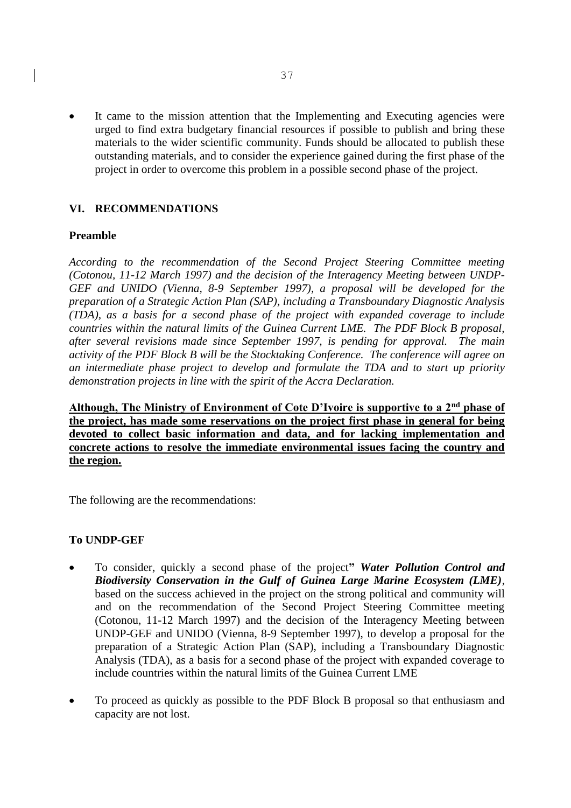It came to the mission attention that the Implementing and Executing agencies were urged to find extra budgetary financial resources if possible to publish and bring these materials to the wider scientific community. Funds should be allocated to publish these outstanding materials, and to consider the experience gained during the first phase of the project in order to overcome this problem in a possible second phase of the project.

## **VI. RECOMMENDATIONS**

## **Preamble**

*According to the recommendation of the Second Project Steering Committee meeting (Cotonou, 11-12 March 1997) and the decision of the Interagency Meeting between UNDP-GEF and UNIDO (Vienna, 8-9 September 1997), a proposal will be developed for the preparation of a Strategic Action Plan (SAP), including a Transboundary Diagnostic Analysis (TDA), as a basis for a second phase of the project with expanded coverage to include countries within the natural limits of the Guinea Current LME. The PDF Block B proposal, after several revisions made since September 1997, is pending for approval. The main activity of the PDF Block B will be the Stocktaking Conference. The conference will agree on an intermediate phase project to develop and formulate the TDA and to start up priority demonstration projects in line with the spirit of the Accra Declaration.*

**Although, The Ministry of Environment of Cote D'Ivoire is supportive to a 2nd phase of the project, has made some reservations on the project first phase in general for being devoted to collect basic information and data, and for lacking implementation and concrete actions to resolve the immediate environmental issues facing the country and the region.**

The following are the recommendations:

## **To UNDP-GEF**

- To consider, quickly a second phase of the project**"** *Water Pollution Control and Biodiversity Conservation in the Gulf of Guinea Large Marine Ecosystem (LME)*, based on the success achieved in the project on the strong political and community will and on the recommendation of the Second Project Steering Committee meeting (Cotonou, 11-12 March 1997) and the decision of the Interagency Meeting between UNDP-GEF and UNIDO (Vienna, 8-9 September 1997), to develop a proposal for the preparation of a Strategic Action Plan (SAP), including a Transboundary Diagnostic Analysis (TDA), as a basis for a second phase of the project with expanded coverage to include countries within the natural limits of the Guinea Current LME
- To proceed as quickly as possible to the PDF Block B proposal so that enthusiasm and capacity are not lost.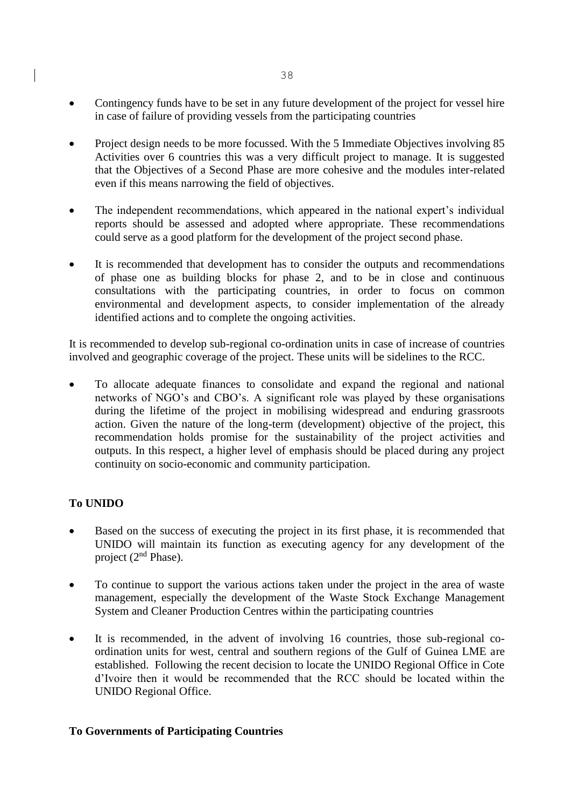- Contingency funds have to be set in any future development of the project for vessel hire in case of failure of providing vessels from the participating countries
- Project design needs to be more focussed. With the 5 Immediate Objectives involving 85 Activities over 6 countries this was a very difficult project to manage. It is suggested that the Objectives of a Second Phase are more cohesive and the modules inter-related even if this means narrowing the field of objectives.
- The independent recommendations, which appeared in the national expert's individual reports should be assessed and adopted where appropriate. These recommendations could serve as a good platform for the development of the project second phase.
- It is recommended that development has to consider the outputs and recommendations of phase one as building blocks for phase 2, and to be in close and continuous consultations with the participating countries, in order to focus on common environmental and development aspects, to consider implementation of the already identified actions and to complete the ongoing activities.

It is recommended to develop sub-regional co-ordination units in case of increase of countries involved and geographic coverage of the project. These units will be sidelines to the RCC.

• To allocate adequate finances to consolidate and expand the regional and national networks of NGO's and CBO's. A significant role was played by these organisations during the lifetime of the project in mobilising widespread and enduring grassroots action. Given the nature of the long-term (development) objective of the project, this recommendation holds promise for the sustainability of the project activities and outputs. In this respect, a higher level of emphasis should be placed during any project continuity on socio-economic and community participation.

# **To UNIDO**

- Based on the success of executing the project in its first phase, it is recommended that UNIDO will maintain its function as executing agency for any development of the project  $(2<sup>nd</sup> Phase)$ .
- To continue to support the various actions taken under the project in the area of waste management, especially the development of the Waste Stock Exchange Management System and Cleaner Production Centres within the participating countries
- It is recommended, in the advent of involving 16 countries, those sub-regional coordination units for west, central and southern regions of the Gulf of Guinea LME are established. Following the recent decision to locate the UNIDO Regional Office in Cote d'Ivoire then it would be recommended that the RCC should be located within the UNIDO Regional Office.

## **To Governments of Participating Countries**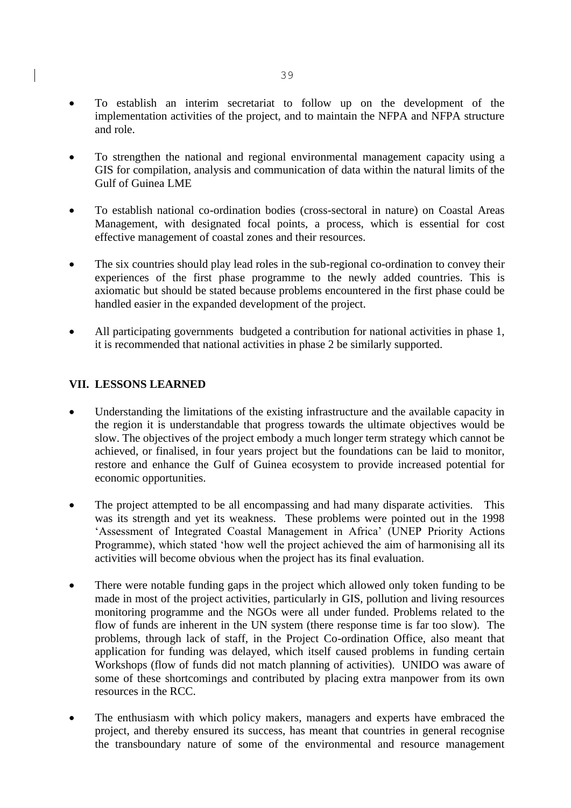- To establish an interim secretariat to follow up on the development of the implementation activities of the project, and to maintain the NFPA and NFPA structure and role.
- To strengthen the national and regional environmental management capacity using a GIS for compilation, analysis and communication of data within the natural limits of the Gulf of Guinea LME
- To establish national co-ordination bodies (cross-sectoral in nature) on Coastal Areas Management, with designated focal points, a process, which is essential for cost effective management of coastal zones and their resources.
- The six countries should play lead roles in the sub-regional co-ordination to convey their experiences of the first phase programme to the newly added countries. This is axiomatic but should be stated because problems encountered in the first phase could be handled easier in the expanded development of the project.
- All participating governments budgeted a contribution for national activities in phase 1, it is recommended that national activities in phase 2 be similarly supported.

## **VII. LESSONS LEARNED**

- Understanding the limitations of the existing infrastructure and the available capacity in the region it is understandable that progress towards the ultimate objectives would be slow. The objectives of the project embody a much longer term strategy which cannot be achieved, or finalised, in four years project but the foundations can be laid to monitor, restore and enhance the Gulf of Guinea ecosystem to provide increased potential for economic opportunities.
- The project attempted to be all encompassing and had many disparate activities. This was its strength and yet its weakness. These problems were pointed out in the 1998 'Assessment of Integrated Coastal Management in Africa' (UNEP Priority Actions Programme), which stated 'how well the project achieved the aim of harmonising all its activities will become obvious when the project has its final evaluation.
- There were notable funding gaps in the project which allowed only token funding to be made in most of the project activities, particularly in GIS, pollution and living resources monitoring programme and the NGOs were all under funded. Problems related to the flow of funds are inherent in the UN system (there response time is far too slow). The problems, through lack of staff, in the Project Co-ordination Office, also meant that application for funding was delayed, which itself caused problems in funding certain Workshops (flow of funds did not match planning of activities). UNIDO was aware of some of these shortcomings and contributed by placing extra manpower from its own resources in the RCC.
- The enthusiasm with which policy makers, managers and experts have embraced the project, and thereby ensured its success, has meant that countries in general recognise the transboundary nature of some of the environmental and resource management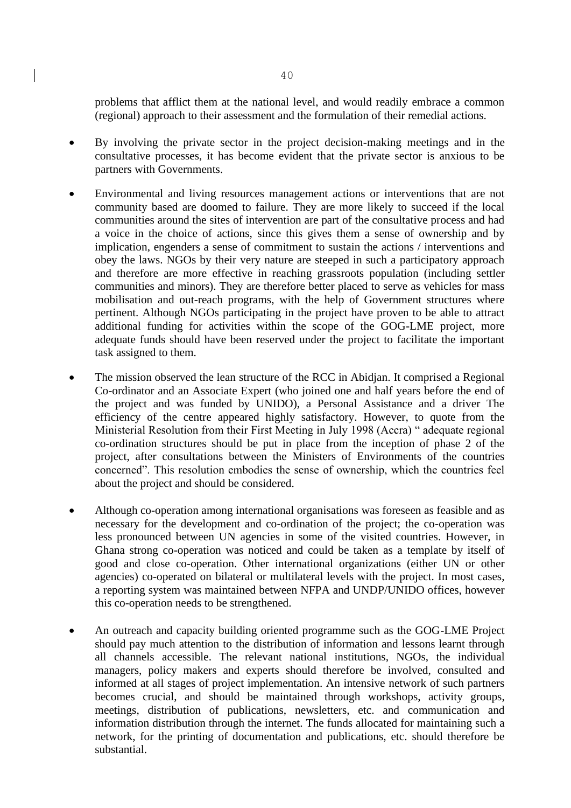problems that afflict them at the national level, and would readily embrace a common (regional) approach to their assessment and the formulation of their remedial actions.

- By involving the private sector in the project decision-making meetings and in the consultative processes, it has become evident that the private sector is anxious to be partners with Governments.
- Environmental and living resources management actions or interventions that are not community based are doomed to failure. They are more likely to succeed if the local communities around the sites of intervention are part of the consultative process and had a voice in the choice of actions, since this gives them a sense of ownership and by implication, engenders a sense of commitment to sustain the actions / interventions and obey the laws. NGOs by their very nature are steeped in such a participatory approach and therefore are more effective in reaching grassroots population (including settler communities and minors). They are therefore better placed to serve as vehicles for mass mobilisation and out-reach programs, with the help of Government structures where pertinent. Although NGOs participating in the project have proven to be able to attract additional funding for activities within the scope of the GOG-LME project, more adequate funds should have been reserved under the project to facilitate the important task assigned to them.
- The mission observed the lean structure of the RCC in Abidjan. It comprised a Regional Co-ordinator and an Associate Expert (who joined one and half years before the end of the project and was funded by UNIDO), a Personal Assistance and a driver The efficiency of the centre appeared highly satisfactory. However, to quote from the Ministerial Resolution from their First Meeting in July 1998 (Accra) " adequate regional co-ordination structures should be put in place from the inception of phase 2 of the project, after consultations between the Ministers of Environments of the countries concerned". This resolution embodies the sense of ownership, which the countries feel about the project and should be considered.
- Although co-operation among international organisations was foreseen as feasible and as necessary for the development and co-ordination of the project; the co-operation was less pronounced between UN agencies in some of the visited countries. However, in Ghana strong co-operation was noticed and could be taken as a template by itself of good and close co-operation. Other international organizations (either UN or other agencies) co-operated on bilateral or multilateral levels with the project. In most cases, a reporting system was maintained between NFPA and UNDP/UNIDO offices, however this co-operation needs to be strengthened.
- An outreach and capacity building oriented programme such as the GOG-LME Project should pay much attention to the distribution of information and lessons learnt through all channels accessible. The relevant national institutions, NGOs, the individual managers, policy makers and experts should therefore be involved, consulted and informed at all stages of project implementation. An intensive network of such partners becomes crucial, and should be maintained through workshops, activity groups, meetings, distribution of publications, newsletters, etc. and communication and information distribution through the internet. The funds allocated for maintaining such a network, for the printing of documentation and publications, etc. should therefore be substantial.